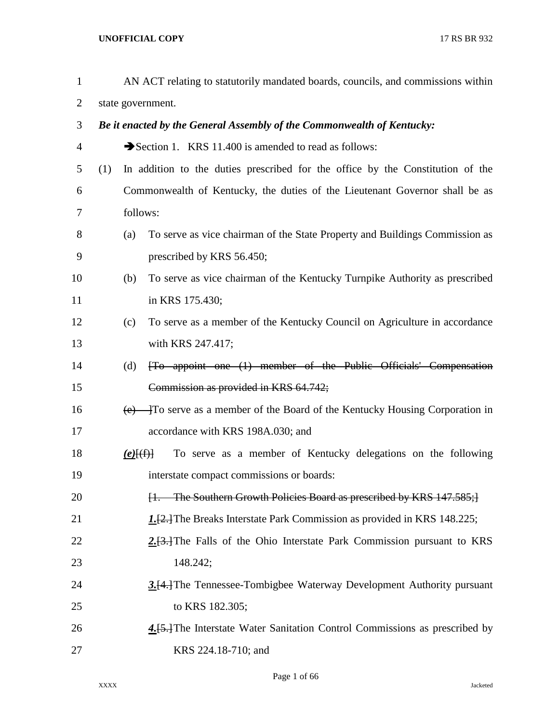| $\mathbf{1}$   |                   |             | AN ACT relating to statutorily mandated boards, councils, and commissions within |  |  |  |  |  |  |
|----------------|-------------------|-------------|----------------------------------------------------------------------------------|--|--|--|--|--|--|
| 2              | state government. |             |                                                                                  |  |  |  |  |  |  |
| 3              |                   |             | Be it enacted by the General Assembly of the Commonwealth of Kentucky:           |  |  |  |  |  |  |
| $\overline{4}$ |                   |             | Section 1. KRS 11.400 is amended to read as follows:                             |  |  |  |  |  |  |
| 5              | (1)               |             | In addition to the duties prescribed for the office by the Constitution of the   |  |  |  |  |  |  |
| 6              |                   |             | Commonwealth of Kentucky, the duties of the Lieutenant Governor shall be as      |  |  |  |  |  |  |
| 7              |                   | follows:    |                                                                                  |  |  |  |  |  |  |
| 8              |                   | (a)         | To serve as vice chairman of the State Property and Buildings Commission as      |  |  |  |  |  |  |
| 9              |                   |             | prescribed by KRS 56.450;                                                        |  |  |  |  |  |  |
| 10             |                   | (b)         | To serve as vice chairman of the Kentucky Turnpike Authority as prescribed       |  |  |  |  |  |  |
| 11             |                   |             | in KRS 175.430;                                                                  |  |  |  |  |  |  |
| 12             |                   | (c)         | To serve as a member of the Kentucky Council on Agriculture in accordance        |  |  |  |  |  |  |
| 13             |                   |             | with KRS 247.417;                                                                |  |  |  |  |  |  |
| 14             |                   | (d)         | [To appoint one (1) member of the Public Officials' Compensation                 |  |  |  |  |  |  |
| 15             |                   |             | Commission as provided in KRS 64.742;                                            |  |  |  |  |  |  |
| 16             |                   |             | $(e)$ To serve as a member of the Board of the Kentucky Housing Corporation in   |  |  |  |  |  |  |
| 17             |                   |             | accordance with KRS 198A.030; and                                                |  |  |  |  |  |  |
| 18             |                   | $(e)$ $(f)$ | To serve as a member of Kentucky delegations on the following                    |  |  |  |  |  |  |
| 19             |                   |             | interstate compact commissions or boards:                                        |  |  |  |  |  |  |
| 20             |                   |             | [1. The Southern Growth Policies Board as prescribed by KRS 147.585;]            |  |  |  |  |  |  |
| 21             |                   |             | 1. [2.] The Breaks Interstate Park Commission as provided in KRS 148.225;        |  |  |  |  |  |  |
| 22             |                   |             | $2.13$ . The Falls of the Ohio Interstate Park Commission pursuant to KRS        |  |  |  |  |  |  |
| 23             |                   |             | 148.242;                                                                         |  |  |  |  |  |  |
| 24             |                   |             | 3.[4.] The Tennessee-Tombigbee Waterway Development Authority pursuant           |  |  |  |  |  |  |
| 25             |                   |             | to KRS 182.305;                                                                  |  |  |  |  |  |  |
| 26             |                   |             | 4. [5.] The Interstate Water Sanitation Control Commissions as prescribed by     |  |  |  |  |  |  |
| 27             |                   |             | KRS 224.18-710; and                                                              |  |  |  |  |  |  |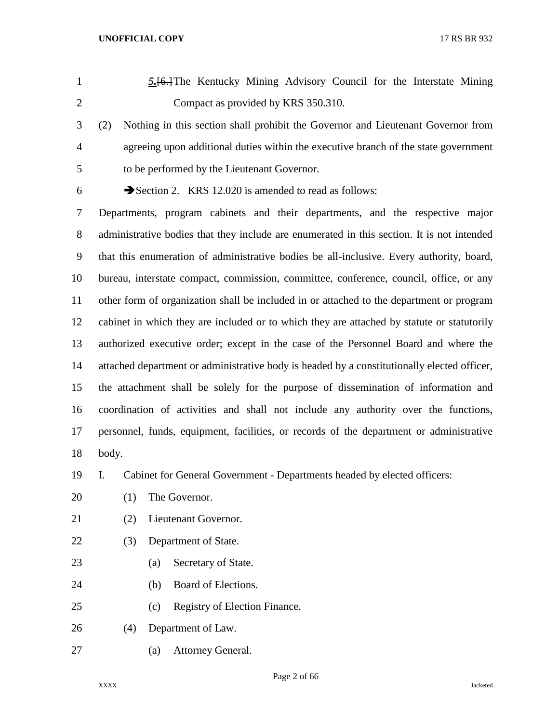- *5.*[6.]The Kentucky Mining Advisory Council for the Interstate Mining Compact as provided by KRS 350.310. (2) Nothing in this section shall prohibit the Governor and Lieutenant Governor from
- agreeing upon additional duties within the executive branch of the state government
- to be performed by the Lieutenant Governor.
- 

6  $\rightarrow$  Section 2. KRS 12.020 is amended to read as follows:

 Departments, program cabinets and their departments, and the respective major administrative bodies that they include are enumerated in this section. It is not intended that this enumeration of administrative bodies be all-inclusive. Every authority, board, bureau, interstate compact, commission, committee, conference, council, office, or any other form of organization shall be included in or attached to the department or program cabinet in which they are included or to which they are attached by statute or statutorily authorized executive order; except in the case of the Personnel Board and where the attached department or administrative body is headed by a constitutionally elected officer, the attachment shall be solely for the purpose of dissemination of information and coordination of activities and shall not include any authority over the functions, personnel, funds, equipment, facilities, or records of the department or administrative body.

I. Cabinet for General Government - Departments headed by elected officers:

- 20 (1) The Governor.
- (2) Lieutenant Governor.
- (3) Department of State.
- (a) Secretary of State.
- (b) Board of Elections.
- (c) Registry of Election Finance.
- (4) Department of Law.
- (a) Attorney General.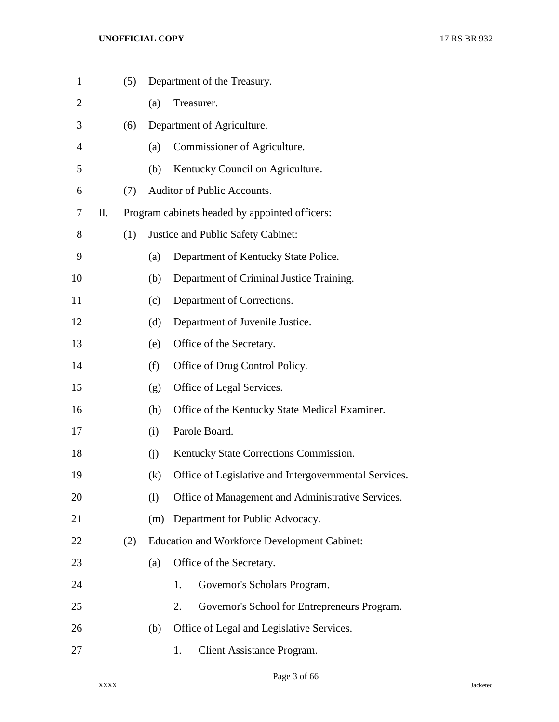| $\mathbf{1}$   |    | (5) |     | Department of the Treasury.                           |  |  |  |  |
|----------------|----|-----|-----|-------------------------------------------------------|--|--|--|--|
| $\overline{2}$ |    |     | (a) | Treasurer.                                            |  |  |  |  |
| 3              |    | (6) |     | Department of Agriculture.                            |  |  |  |  |
| 4              |    |     | (a) | Commissioner of Agriculture.                          |  |  |  |  |
| 5              |    |     | (b) | Kentucky Council on Agriculture.                      |  |  |  |  |
| 6              |    | (7) |     | Auditor of Public Accounts.                           |  |  |  |  |
| 7              | П. |     |     | Program cabinets headed by appointed officers:        |  |  |  |  |
| 8              |    | (1) |     | Justice and Public Safety Cabinet:                    |  |  |  |  |
| 9              |    |     | (a) | Department of Kentucky State Police.                  |  |  |  |  |
| 10             |    |     | (b) | Department of Criminal Justice Training.              |  |  |  |  |
| 11             |    |     | (c) | Department of Corrections.                            |  |  |  |  |
| 12             |    |     | (d) | Department of Juvenile Justice.                       |  |  |  |  |
| 13             |    |     | (e) | Office of the Secretary.                              |  |  |  |  |
| 14             |    |     | (f) | Office of Drug Control Policy.                        |  |  |  |  |
| 15             |    |     | (g) | Office of Legal Services.                             |  |  |  |  |
| 16             |    |     | (h) | Office of the Kentucky State Medical Examiner.        |  |  |  |  |
| 17             |    |     | (i) | Parole Board.                                         |  |  |  |  |
| 18             |    |     | (i) | Kentucky State Corrections Commission.                |  |  |  |  |
| 19             |    |     | (k) | Office of Legislative and Intergovernmental Services. |  |  |  |  |
| 20             |    |     | (1) | Office of Management and Administrative Services.     |  |  |  |  |
| 21             |    |     | (m) | Department for Public Advocacy.                       |  |  |  |  |
| 22             |    | (2) |     | <b>Education and Workforce Development Cabinet:</b>   |  |  |  |  |
| 23             |    |     | (a) | Office of the Secretary.                              |  |  |  |  |
| 24             |    |     |     | Governor's Scholars Program.<br>1.                    |  |  |  |  |
| 25             |    |     |     | Governor's School for Entrepreneurs Program.<br>2.    |  |  |  |  |
| 26             |    |     | (b) | Office of Legal and Legislative Services.             |  |  |  |  |
| 27             |    |     |     | Client Assistance Program.<br>1.                      |  |  |  |  |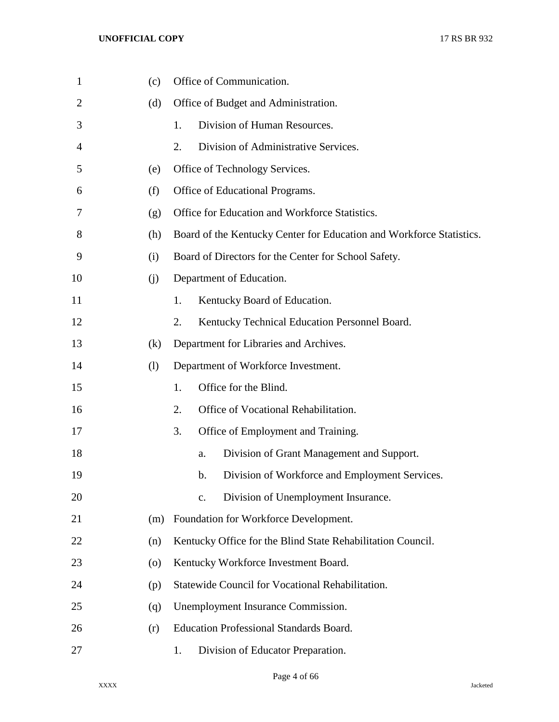| $\mathbf{1}$   | (c)                | Office of Communication.                                             |
|----------------|--------------------|----------------------------------------------------------------------|
| $\overline{2}$ | (d)                | Office of Budget and Administration.                                 |
| 3              |                    | Division of Human Resources.<br>1.                                   |
| 4              |                    | 2.<br>Division of Administrative Services.                           |
| 5              | (e)                | Office of Technology Services.                                       |
| 6              | (f)                | Office of Educational Programs.                                      |
| 7              | (g)                | Office for Education and Workforce Statistics.                       |
| 8              | (h)                | Board of the Kentucky Center for Education and Workforce Statistics. |
| 9              | (i)                | Board of Directors for the Center for School Safety.                 |
| 10             | (i)                | Department of Education.                                             |
| 11             |                    | 1.<br>Kentucky Board of Education.                                   |
| 12             |                    | 2.<br>Kentucky Technical Education Personnel Board.                  |
| 13             | (k)                | Department for Libraries and Archives.                               |
| 14             | (1)                | Department of Workforce Investment.                                  |
| 15             |                    | Office for the Blind.<br>1.                                          |
| 16             |                    | 2.<br>Office of Vocational Rehabilitation.                           |
| 17             |                    | 3.<br>Office of Employment and Training.                             |
| 18             |                    | Division of Grant Management and Support.<br>a.                      |
| 19             |                    | Division of Workforce and Employment Services.<br>b.                 |
| 20             |                    | Division of Unemployment Insurance.<br>$C_{\bullet}$                 |
| 21             | (m)                | Foundation for Workforce Development.                                |
| 22             | (n)                | Kentucky Office for the Blind State Rehabilitation Council.          |
| 23             | $\left( 0 \right)$ | Kentucky Workforce Investment Board.                                 |
| 24             | (p)                | Statewide Council for Vocational Rehabilitation.                     |
| 25             | (q)                | Unemployment Insurance Commission.                                   |
| 26             | (r)                | <b>Education Professional Standards Board.</b>                       |
| 27             |                    | Division of Educator Preparation.<br>1.                              |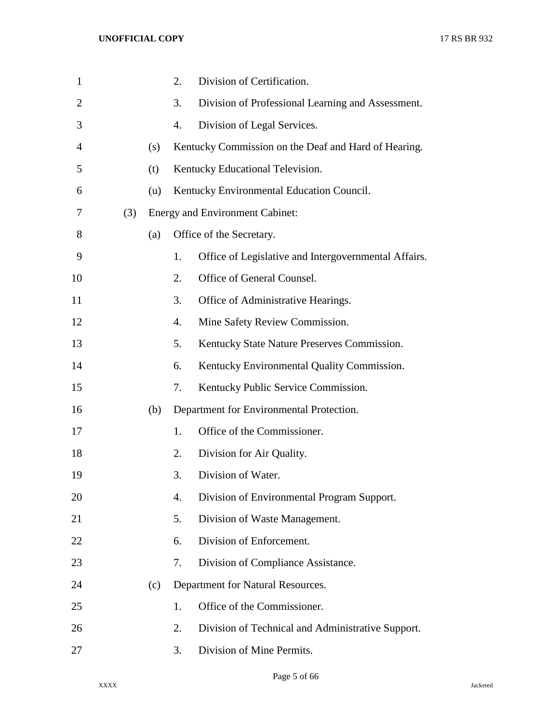| $\mathbf{1}$   |     |     | 2. | Division of Certification.                           |
|----------------|-----|-----|----|------------------------------------------------------|
| $\overline{2}$ |     |     | 3. | Division of Professional Learning and Assessment.    |
| 3              |     |     | 4. | Division of Legal Services.                          |
| 4              |     | (s) |    | Kentucky Commission on the Deaf and Hard of Hearing. |
| 5              |     | (t) |    | Kentucky Educational Television.                     |
| 6              |     | (u) |    | Kentucky Environmental Education Council.            |
| 7              | (3) |     |    | <b>Energy and Environment Cabinet:</b>               |
| 8              |     | (a) |    | Office of the Secretary.                             |
| 9              |     |     | 1. | Office of Legislative and Intergovernmental Affairs. |
| 10             |     |     | 2. | Office of General Counsel.                           |
| 11             |     |     | 3. | Office of Administrative Hearings.                   |
| 12             |     |     | 4. | Mine Safety Review Commission.                       |
| 13             |     |     | 5. | Kentucky State Nature Preserves Commission.          |
| 14             |     |     | 6. | Kentucky Environmental Quality Commission.           |
| 15             |     |     | 7. | Kentucky Public Service Commission.                  |
| 16             |     | (b) |    | Department for Environmental Protection.             |
| 17             |     |     | 1. | Office of the Commissioner.                          |
| 18             |     |     | 2. | Division for Air Quality.                            |
| 19             |     |     | 3. | Division of Water.                                   |
| 20             |     |     | 4. | Division of Environmental Program Support.           |
| 21             |     |     | 5. | Division of Waste Management.                        |
| 22             |     |     | 6. | Division of Enforcement.                             |
| 23             |     |     | 7. | Division of Compliance Assistance.                   |
| 24             |     | (c) |    | Department for Natural Resources.                    |
| 25             |     |     | 1. | Office of the Commissioner.                          |
| 26             |     |     | 2. | Division of Technical and Administrative Support.    |
| 27             |     |     | 3. | Division of Mine Permits.                            |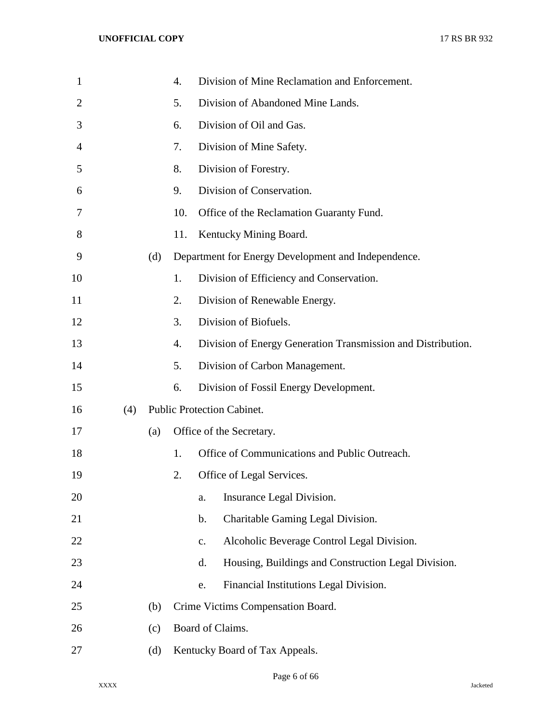| $\mathbf{1}$   |     |     | $\overline{4}$ . | Division of Mine Reclamation and Enforcement.                |
|----------------|-----|-----|------------------|--------------------------------------------------------------|
| $\overline{2}$ |     |     | 5.               | Division of Abandoned Mine Lands.                            |
| 3              |     |     | 6.               | Division of Oil and Gas.                                     |
| 4              |     |     | 7.               | Division of Mine Safety.                                     |
| 5              |     |     | 8.               | Division of Forestry.                                        |
| 6              |     |     | 9.               | Division of Conservation.                                    |
| 7              |     |     | 10.              | Office of the Reclamation Guaranty Fund.                     |
| 8              |     |     | 11.              | Kentucky Mining Board.                                       |
| 9              |     | (d) |                  | Department for Energy Development and Independence.          |
| 10             |     |     | 1.               | Division of Efficiency and Conservation.                     |
| 11             |     |     | 2.               | Division of Renewable Energy.                                |
| 12             |     |     | 3.               | Division of Biofuels.                                        |
| 13             |     |     | 4.               | Division of Energy Generation Transmission and Distribution. |
| 14             |     |     | 5.               | Division of Carbon Management.                               |
| 15             |     |     | 6.               | Division of Fossil Energy Development.                       |
| 16             | (4) |     |                  | <b>Public Protection Cabinet.</b>                            |
| 17             |     | (a) |                  | Office of the Secretary.                                     |
| 18             |     |     | 1.               | Office of Communications and Public Outreach.                |
| 19             |     |     | 2.               | Office of Legal Services.                                    |
| 20             |     |     |                  | Insurance Legal Division.<br>a.                              |
| 21             |     |     |                  | Charitable Gaming Legal Division.<br>$\mathbf b$ .           |
| 22             |     |     |                  | Alcoholic Beverage Control Legal Division.<br>$\mathbf{c}$ . |
| 23             |     |     |                  | Housing, Buildings and Construction Legal Division.<br>d.    |
| 24             |     |     |                  | Financial Institutions Legal Division.<br>e.                 |
| 25             |     | (b) |                  | Crime Victims Compensation Board.                            |
| 26             |     | (c) |                  | Board of Claims.                                             |
| 27             |     | (d) |                  | Kentucky Board of Tax Appeals.                               |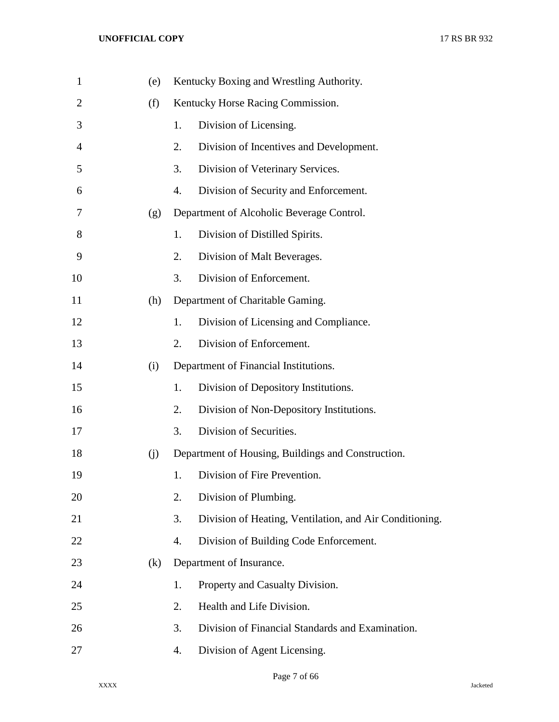| $\mathbf{1}$   | (e) |    | Kentucky Boxing and Wrestling Authority.                |
|----------------|-----|----|---------------------------------------------------------|
| $\overline{2}$ | (f) |    | Kentucky Horse Racing Commission.                       |
| 3              |     | 1. | Division of Licensing.                                  |
| 4              |     | 2. | Division of Incentives and Development.                 |
| 5              |     | 3. | Division of Veterinary Services.                        |
| 6              |     | 4. | Division of Security and Enforcement.                   |
| 7              | (g) |    | Department of Alcoholic Beverage Control.               |
| 8              |     | 1. | Division of Distilled Spirits.                          |
| 9              |     | 2. | Division of Malt Beverages.                             |
| 10             |     | 3. | Division of Enforcement.                                |
| 11             | (h) |    | Department of Charitable Gaming.                        |
| 12             |     | 1. | Division of Licensing and Compliance.                   |
| 13             |     | 2. | Division of Enforcement.                                |
| 14             | (i) |    | Department of Financial Institutions.                   |
| 15             |     | 1. | Division of Depository Institutions.                    |
| 16             |     | 2. | Division of Non-Depository Institutions.                |
| 17             |     | 3. | Division of Securities.                                 |
| 18             | (j) |    | Department of Housing, Buildings and Construction.      |
| 19             |     | 1. | Division of Fire Prevention.                            |
| 20             |     | 2. | Division of Plumbing.                                   |
| 21             |     | 3. | Division of Heating, Ventilation, and Air Conditioning. |
| 22             |     | 4. | Division of Building Code Enforcement.                  |
| 23             | (k) |    | Department of Insurance.                                |
| 24             |     | 1. | Property and Casualty Division.                         |
| 25             |     | 2. | Health and Life Division.                               |
| 26             |     | 3. | Division of Financial Standards and Examination.        |
| 27             |     | 4. | Division of Agent Licensing.                            |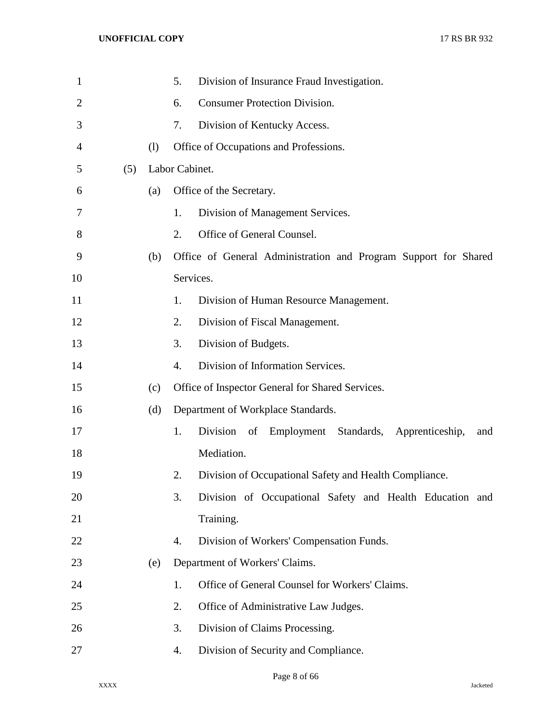| $\mathbf{1}$   |     |     | 5.<br>Division of Insurance Fraud Investigation.                     |
|----------------|-----|-----|----------------------------------------------------------------------|
| $\overline{2}$ |     |     | <b>Consumer Protection Division.</b><br>6.                           |
| 3              |     |     | 7.<br>Division of Kentucky Access.                                   |
| 4              |     | (1) | Office of Occupations and Professions.                               |
| 5              | (5) |     | Labor Cabinet.                                                       |
| 6              |     | (a) | Office of the Secretary.                                             |
| 7              |     |     | 1.<br>Division of Management Services.                               |
| 8              |     |     | Office of General Counsel.<br>2.                                     |
| 9              |     | (b) | Office of General Administration and Program Support for Shared      |
| 10             |     |     | Services.                                                            |
| 11             |     |     | 1.<br>Division of Human Resource Management.                         |
| 12             |     |     | 2.<br>Division of Fiscal Management.                                 |
| 13             |     |     | 3.<br>Division of Budgets.                                           |
| 14             |     |     | 4.<br>Division of Information Services.                              |
| 15             |     | (c) | Office of Inspector General for Shared Services.                     |
| 16             |     | (d) | Department of Workplace Standards.                                   |
| 17             |     |     | 1.<br>Division<br>Employment Standards, Apprenticeship,<br>of<br>and |
| 18             |     |     | Mediation.                                                           |
| 19             |     |     | 2.<br>Division of Occupational Safety and Health Compliance.         |
| 20             |     |     | 3.<br>Division of Occupational Safety and Health Education and       |
| 21             |     |     | Training.                                                            |
| 22             |     |     | Division of Workers' Compensation Funds.<br>4.                       |
| 23             |     | (e) | Department of Workers' Claims.                                       |
| 24             |     |     | Office of General Counsel for Workers' Claims.<br>1.                 |
| 25             |     |     | 2.<br>Office of Administrative Law Judges.                           |
| 26             |     |     | Division of Claims Processing.<br>3.                                 |
| 27             |     |     | Division of Security and Compliance.<br>4.                           |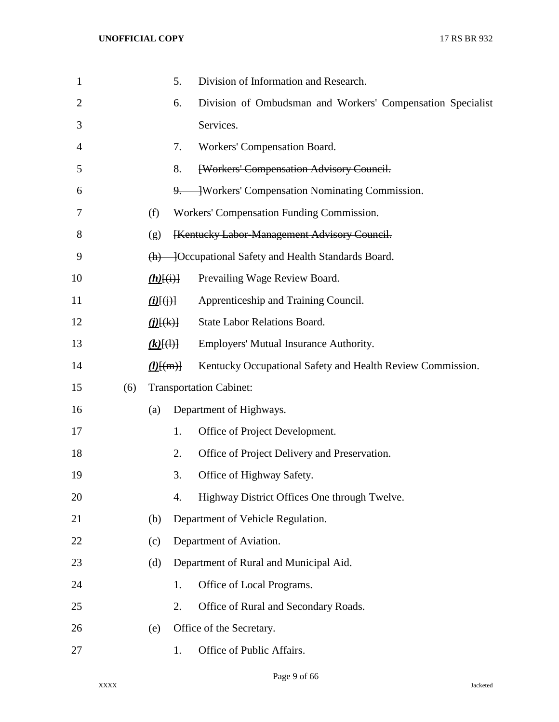| $\mathbf{1}$ |     |                         | 5. | Division of Information and Research.                      |
|--------------|-----|-------------------------|----|------------------------------------------------------------|
| 2            |     |                         | 6. | Division of Ombudsman and Workers' Compensation Specialist |
| 3            |     |                         |    | Services.                                                  |
| 4            |     |                         | 7. | Workers' Compensation Board.                               |
| 5            |     |                         | 8. | [Workers' Compensation Advisory Council.                   |
| 6            |     |                         |    | 9. Workers' Compensation Nominating Commission.            |
| 7            |     | (f)                     |    | Workers' Compensation Funding Commission.                  |
| 8            |     | (g)                     |    | [Kentucky Labor-Management Advisory Council.               |
| 9            |     |                         |    | (h) — [Occupational Safety and Health Standards Board.     |
| 10           |     | $(h)$ $\overline{(+)}$  |    | Prevailing Wage Review Board.                              |
| 11           |     | $(i)$ $(i)$ $(i)$ $(i)$ |    | Apprenticeship and Training Council.                       |
| 12           |     | $(i)$ [(k)]             |    | State Labor Relations Board.                               |
| 13           |     | $(k)$ $(\theta)$        |    | Employers' Mutual Insurance Authority.                     |
| 14           |     | $(l)$ [(m)]             |    | Kentucky Occupational Safety and Health Review Commission. |
| 15           | (6) |                         |    | <b>Transportation Cabinet:</b>                             |
| 16           |     | (a)                     |    | Department of Highways.                                    |
| 17           |     |                         | 1. | Office of Project Development.                             |
| 18           |     |                         | 2. | Office of Project Delivery and Preservation.               |
| 19           |     |                         | 3. | Office of Highway Safety.                                  |
| 20           |     |                         | 4. | Highway District Offices One through Twelve.               |
| 21           |     | (b)                     |    | Department of Vehicle Regulation.                          |
| 22           |     | (c)                     |    | Department of Aviation.                                    |
| 23           |     | (d)                     |    | Department of Rural and Municipal Aid.                     |
| 24           |     |                         | 1. | Office of Local Programs.                                  |
| 25           |     |                         | 2. | Office of Rural and Secondary Roads.                       |
| 26           |     | (e)                     |    | Office of the Secretary.                                   |
| 27           |     |                         | 1. | Office of Public Affairs.                                  |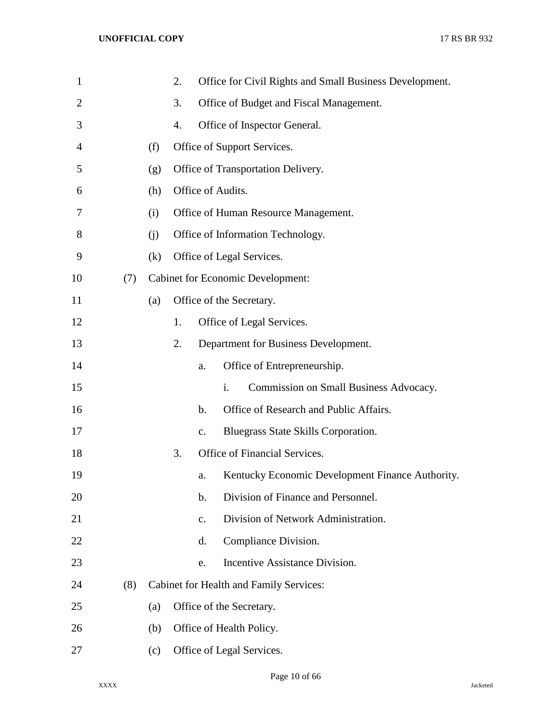| $\mathbf{1}$   |     |     | 2. |                | Office for Civil Rights and Small Business Development. |
|----------------|-----|-----|----|----------------|---------------------------------------------------------|
| $\overline{2}$ |     |     | 3. |                | Office of Budget and Fiscal Management.                 |
| 3              |     |     | 4. |                | Office of Inspector General.                            |
| 4              |     | (f) |    |                | Office of Support Services.                             |
| 5              |     | (g) |    |                | Office of Transportation Delivery.                      |
| 6              |     | (h) |    |                | Office of Audits.                                       |
| 7              |     | (i) |    |                | Office of Human Resource Management.                    |
| 8              |     | (i) |    |                | Office of Information Technology.                       |
| 9              |     | (k) |    |                | Office of Legal Services.                               |
| 10             | (7) |     |    |                | <b>Cabinet for Economic Development:</b>                |
| 11             |     | (a) |    |                | Office of the Secretary.                                |
| 12             |     |     | 1. |                | Office of Legal Services.                               |
| 13             |     |     | 2. |                | Department for Business Development.                    |
| 14             |     |     |    | a.             | Office of Entrepreneurship.                             |
| 15             |     |     |    |                | Commission on Small Business Advocacy.<br>i.            |
| 16             |     |     |    | b.             | Office of Research and Public Affairs.                  |
| 17             |     |     |    | $\mathbf{c}$ . | Bluegrass State Skills Corporation.                     |
| 18             |     |     | 3. |                | Office of Financial Services.                           |
| 19             |     |     |    | a.             | Kentucky Economic Development Finance Authority.        |
| 20             |     |     |    | b.             | Division of Finance and Personnel.                      |
| 21             |     |     |    | c.             | Division of Network Administration.                     |
| 22             |     |     |    | d.             | Compliance Division.                                    |
| 23             |     |     |    | e.             | Incentive Assistance Division.                          |
| 24             | (8) |     |    |                | <b>Cabinet for Health and Family Services:</b>          |
| 25             |     | (a) |    |                | Office of the Secretary.                                |
| 26             |     | (b) |    |                | Office of Health Policy.                                |
| 27             |     | (c) |    |                | Office of Legal Services.                               |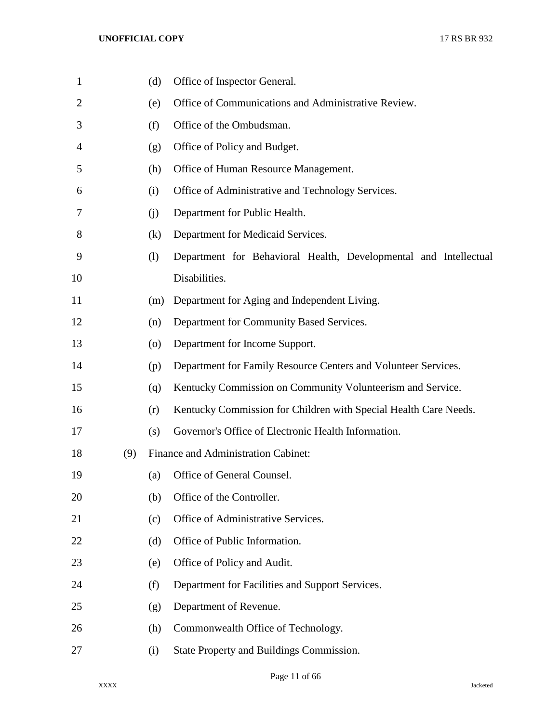| $\mathbf{1}$   |     | (d)                          | Office of Inspector General.                                     |
|----------------|-----|------------------------------|------------------------------------------------------------------|
| $\overline{2}$ |     | (e)                          | Office of Communications and Administrative Review.              |
| 3              |     | (f)                          | Office of the Ombudsman.                                         |
| 4              |     | (g)                          | Office of Policy and Budget.                                     |
| 5              |     | (h)                          | Office of Human Resource Management.                             |
| 6              |     | (i)                          | Office of Administrative and Technology Services.                |
| 7              |     | (j)                          | Department for Public Health.                                    |
| 8              |     | (k)                          | Department for Medicaid Services.                                |
| 9              |     | $\left( \frac{1}{2} \right)$ | Department for Behavioral Health, Developmental and Intellectual |
| 10             |     |                              | Disabilities.                                                    |
| 11             |     | (m)                          | Department for Aging and Independent Living.                     |
| 12             |     | (n)                          | Department for Community Based Services.                         |
| 13             |     | $\left( 0 \right)$           | Department for Income Support.                                   |
| 14             |     | (p)                          | Department for Family Resource Centers and Volunteer Services.   |
| 15             |     | (q)                          | Kentucky Commission on Community Volunteerism and Service.       |
| 16             |     | (r)                          | Kentucky Commission for Children with Special Health Care Needs. |
| 17             |     | (s)                          | Governor's Office of Electronic Health Information.              |
| 18             | (9) |                              | Finance and Administration Cabinet:                              |
| 19             |     | (a)                          | Office of General Counsel.                                       |
| 20             |     | (b)                          | Office of the Controller.                                        |
| 21             |     | (c)                          | Office of Administrative Services.                               |
| 22             |     | (d)                          | Office of Public Information.                                    |
| 23             |     | (e)                          | Office of Policy and Audit.                                      |
| 24             |     | (f)                          | Department for Facilities and Support Services.                  |
| 25             |     | (g)                          | Department of Revenue.                                           |
| 26             |     | (h)                          | Commonwealth Office of Technology.                               |
| 27             |     | (i)                          | State Property and Buildings Commission.                         |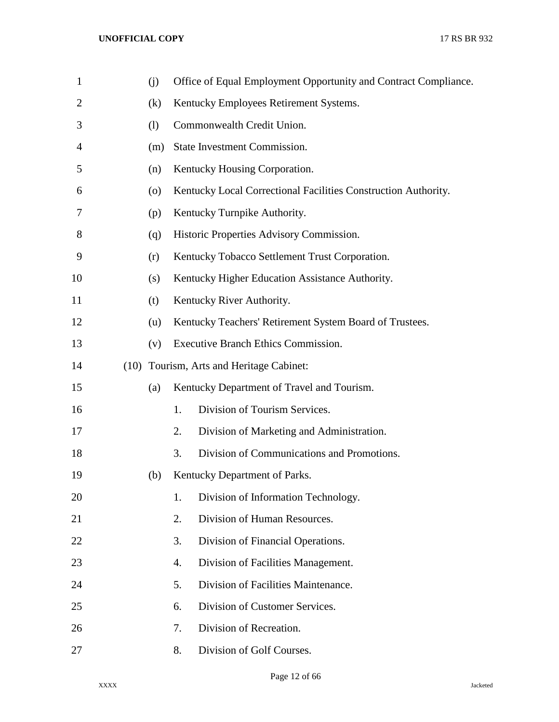| $\mathbf{1}$   | (j)                |    | Office of Equal Employment Opportunity and Contract Compliance. |
|----------------|--------------------|----|-----------------------------------------------------------------|
| $\overline{2}$ | (k)                |    | Kentucky Employees Retirement Systems.                          |
| 3              | (1)                |    | Commonwealth Credit Union.                                      |
| 4              | (m)                |    | State Investment Commission.                                    |
| 5              | (n)                |    | Kentucky Housing Corporation.                                   |
| 6              | $\left( 0 \right)$ |    | Kentucky Local Correctional Facilities Construction Authority.  |
| 7              | (p)                |    | Kentucky Turnpike Authority.                                    |
| 8              | (q)                |    | Historic Properties Advisory Commission.                        |
| 9              | (r)                |    | Kentucky Tobacco Settlement Trust Corporation.                  |
| 10             | (s)                |    | Kentucky Higher Education Assistance Authority.                 |
| 11             | (t)                |    | Kentucky River Authority.                                       |
| 12             | (u)                |    | Kentucky Teachers' Retirement System Board of Trustees.         |
| 13             | (v)                |    | Executive Branch Ethics Commission.                             |
| 14             |                    |    | (10) Tourism, Arts and Heritage Cabinet:                        |
| 15             | (a)                |    | Kentucky Department of Travel and Tourism.                      |
| 16             |                    | 1. | Division of Tourism Services.                                   |
| 17             |                    | 2. | Division of Marketing and Administration.                       |
| 18             |                    | 3. | Division of Communications and Promotions.                      |
| 19             | (b)                |    | Kentucky Department of Parks.                                   |
| 20             |                    | 1. | Division of Information Technology.                             |
| 21             |                    | 2. | Division of Human Resources.                                    |
| 22             |                    | 3. | Division of Financial Operations.                               |
| 23             |                    | 4. | Division of Facilities Management.                              |
| 24             |                    | 5. | Division of Facilities Maintenance.                             |
| 25             |                    | 6. | Division of Customer Services.                                  |
| 26             |                    | 7. | Division of Recreation.                                         |
| 27             |                    | 8. | Division of Golf Courses.                                       |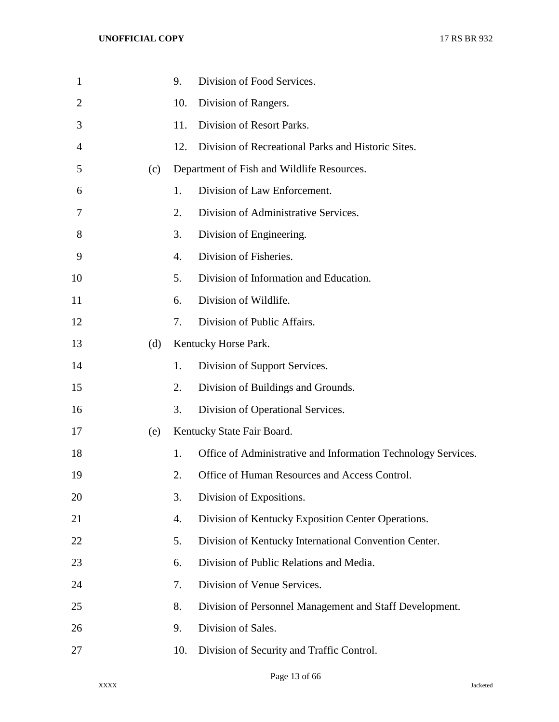| $\mathbf{1}$ |     | 9.  | Division of Food Services.                                    |
|--------------|-----|-----|---------------------------------------------------------------|
| 2            |     | 10. | Division of Rangers.                                          |
| 3            |     | 11. | Division of Resort Parks.                                     |
| 4            |     | 12. | Division of Recreational Parks and Historic Sites.            |
| 5            | (c) |     | Department of Fish and Wildlife Resources.                    |
| 6            |     | 1.  | Division of Law Enforcement.                                  |
| 7            |     | 2.  | Division of Administrative Services.                          |
| 8            |     | 3.  | Division of Engineering.                                      |
| 9            |     | 4.  | Division of Fisheries.                                        |
| 10           |     | 5.  | Division of Information and Education.                        |
| 11           |     | 6.  | Division of Wildlife.                                         |
| 12           |     | 7.  | Division of Public Affairs.                                   |
| 13           | (d) |     | Kentucky Horse Park.                                          |
| 14           |     | 1.  | Division of Support Services.                                 |
| 15           |     | 2.  | Division of Buildings and Grounds.                            |
| 16           |     | 3.  | Division of Operational Services.                             |
| 17           | (e) |     | Kentucky State Fair Board.                                    |
| 18           |     | 1.  | Office of Administrative and Information Technology Services. |
| 19           |     | 2.  | Office of Human Resources and Access Control.                 |
| 20           |     | 3.  | Division of Expositions.                                      |
| 21           |     | 4.  | Division of Kentucky Exposition Center Operations.            |
| 22           |     | 5.  | Division of Kentucky International Convention Center.         |
| 23           |     | 6.  | Division of Public Relations and Media.                       |
| 24           |     | 7.  | Division of Venue Services.                                   |
| 25           |     | 8.  | Division of Personnel Management and Staff Development.       |
| 26           |     | 9.  | Division of Sales.                                            |
| 27           |     | 10. | Division of Security and Traffic Control.                     |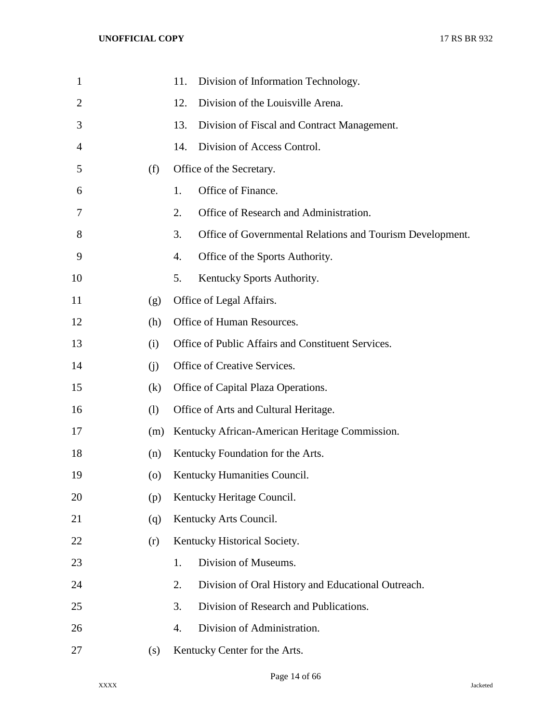| $\mathbf{1}$ |                    | Division of Information Technology.<br>11.                      |
|--------------|--------------------|-----------------------------------------------------------------|
| 2            |                    | Division of the Louisville Arena.<br>12.                        |
| 3            |                    | 13.<br>Division of Fiscal and Contract Management.              |
| 4            |                    | Division of Access Control.<br>14.                              |
| 5            | (f)                | Office of the Secretary.                                        |
| 6            |                    | Office of Finance.<br>1.                                        |
| 7            |                    | 2.<br>Office of Research and Administration.                    |
| 8            |                    | 3.<br>Office of Governmental Relations and Tourism Development. |
| 9            |                    | Office of the Sports Authority.<br>4.                           |
| 10           |                    | 5.<br>Kentucky Sports Authority.                                |
| 11           | (g)                | Office of Legal Affairs.                                        |
| 12           | (h)                | Office of Human Resources.                                      |
| 13           | (i)                | Office of Public Affairs and Constituent Services.              |
| 14           | (i)                | Office of Creative Services.                                    |
| 15           | (k)                | Office of Capital Plaza Operations.                             |
| 16           | (1)                | Office of Arts and Cultural Heritage.                           |
| 17           | (m)                | Kentucky African-American Heritage Commission.                  |
| 18           | (n)                | Kentucky Foundation for the Arts.                               |
| 19           | $\left( 0 \right)$ | Kentucky Humanities Council.                                    |
| 20           | (p)                | Kentucky Heritage Council.                                      |
| 21           | (q)                | Kentucky Arts Council.                                          |
| 22           | (r)                | Kentucky Historical Society.                                    |
| 23           |                    | Division of Museums.<br>1.                                      |
| 24           |                    | 2.<br>Division of Oral History and Educational Outreach.        |
| 25           |                    | Division of Research and Publications.<br>3.                    |
| 26           |                    | Division of Administration.<br>4.                               |
| 27           | (s)                | Kentucky Center for the Arts.                                   |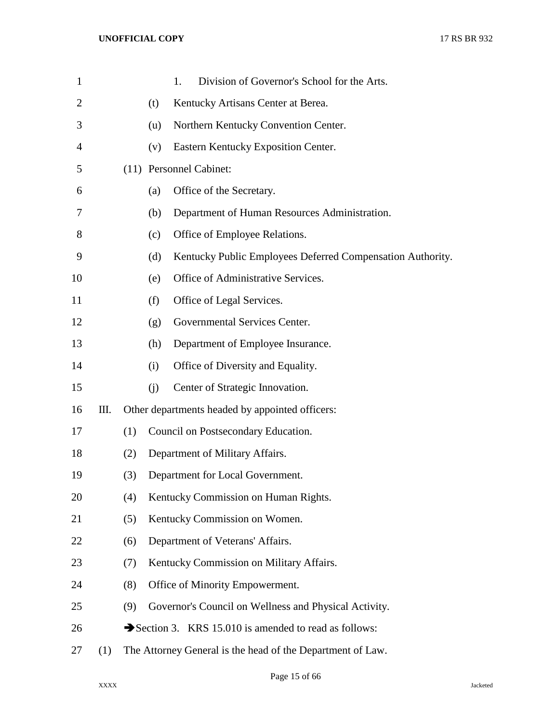| $\mathbf{1}$   |     |     |     | Division of Governor's School for the Arts.<br>1.          |
|----------------|-----|-----|-----|------------------------------------------------------------|
| $\overline{2}$ |     |     | (t) | Kentucky Artisans Center at Berea.                         |
| 3              |     |     | (u) | Northern Kentucky Convention Center.                       |
| 4              |     |     | (v) | Eastern Kentucky Exposition Center.                        |
| 5              |     |     |     | (11) Personnel Cabinet:                                    |
| 6              |     |     | (a) | Office of the Secretary.                                   |
| 7              |     |     | (b) | Department of Human Resources Administration.              |
| 8              |     |     | (c) | Office of Employee Relations.                              |
| 9              |     |     | (d) | Kentucky Public Employees Deferred Compensation Authority. |
| 10             |     |     | (e) | Office of Administrative Services.                         |
| 11             |     |     | (f) | Office of Legal Services.                                  |
| 12             |     |     | (g) | Governmental Services Center.                              |
| 13             |     |     | (h) | Department of Employee Insurance.                          |
| 14             |     |     | (i) | Office of Diversity and Equality.                          |
| 15             |     |     | (i) | Center of Strategic Innovation.                            |
| 16             | Ш.  |     |     | Other departments headed by appointed officers:            |
| 17             |     | (1) |     | Council on Postsecondary Education.                        |
| 18             |     | (2) |     | Department of Military Affairs.                            |
| 19             |     | (3) |     | Department for Local Government.                           |
| 20             |     | (4) |     | Kentucky Commission on Human Rights.                       |
| 21             |     | (5) |     | Kentucky Commission on Women.                              |
| 22             |     | (6) |     | Department of Veterans' Affairs.                           |
| 23             |     | (7) |     | Kentucky Commission on Military Affairs.                   |
| 24             |     | (8) |     | Office of Minority Empowerment.                            |
| 25             |     | (9) |     | Governor's Council on Wellness and Physical Activity.      |
| 26             |     |     |     | Section 3. KRS 15.010 is amended to read as follows:       |
| 27             | (1) |     |     | The Attorney General is the head of the Department of Law. |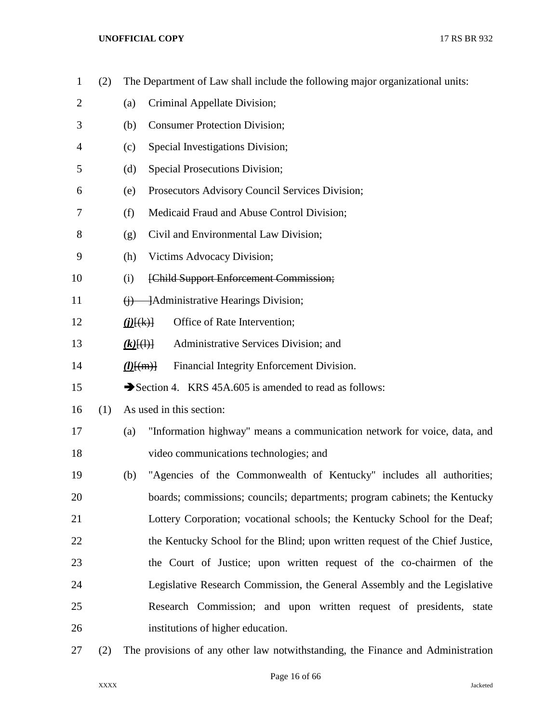| $\mathbf{1}$   | (2) | The Department of Law shall include the following major organizational units:   |
|----------------|-----|---------------------------------------------------------------------------------|
| $\overline{2}$ |     | Criminal Appellate Division;<br>(a)                                             |
| 3              |     | <b>Consumer Protection Division;</b><br>(b)                                     |
| 4              |     | Special Investigations Division;<br>(c)                                         |
| 5              |     | Special Prosecutions Division;<br>(d)                                           |
| 6              |     | Prosecutors Advisory Council Services Division;<br>(e)                          |
| 7              |     | Medicaid Fraud and Abuse Control Division;<br>(f)                               |
| 8              |     | Civil and Environmental Law Division;<br>(g)                                    |
| 9              |     | Victims Advocacy Division;<br>(h)                                               |
| 10             |     | [Child Support Enforcement Commission;<br>(i)                                   |
| 11             |     | -Administrative Hearings Division;<br>$\leftrightarrow$                         |
| 12             |     | Office of Rate Intervention;<br>( <i>j</i> )(k)                                 |
| 13             |     | Administrative Services Division; and<br>$(k)$ $(\dagger)$                      |
| 14             |     | Financial Integrity Enforcement Division.<br>$(l)$ $\{(m)\}$                    |
| 15             |     | Section 4. KRS 45A.605 is amended to read as follows:                           |
| 16             | (1) | As used in this section:                                                        |
| 17             |     | "Information highway" means a communication network for voice, data, and<br>(a) |
| 18             |     | video communications technologies; and                                          |
| 19             |     | "Agencies of the Commonwealth of Kentucky" includes all authorities;<br>(b)     |
| 20             |     | boards; commissions; councils; departments; program cabinets; the Kentucky      |
| 21             |     | Lottery Corporation; vocational schools; the Kentucky School for the Deaf;      |
| 22             |     | the Kentucky School for the Blind; upon written request of the Chief Justice,   |
| 23             |     | the Court of Justice; upon written request of the co-chairmen of the            |
| 24             |     | Legislative Research Commission, the General Assembly and the Legislative       |
| 25             |     | Research Commission; and upon written request of presidents, state              |
| 26             |     | institutions of higher education.                                               |
| 27             | (2) | The provisions of any other law notwithstanding, the Finance and Administration |

## Page 16 of 66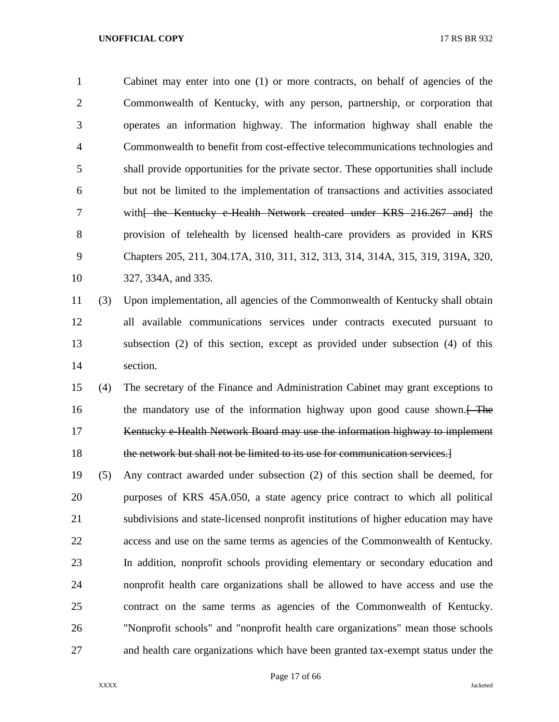Cabinet may enter into one (1) or more contracts, on behalf of agencies of the Commonwealth of Kentucky, with any person, partnership, or corporation that operates an information highway. The information highway shall enable the Commonwealth to benefit from cost-effective telecommunications technologies and shall provide opportunities for the private sector. These opportunities shall include but not be limited to the implementation of transactions and activities associated 7 with<del>[ the Kentucky e-Health Network created under KRS 216.267 and]</del> the provision of telehealth by licensed health-care providers as provided in KRS Chapters 205, 211, 304.17A, 310, 311, 312, 313, 314, 314A, 315, 319, 319A, 320, 327, 334A, and 335.

# (3) Upon implementation, all agencies of the Commonwealth of Kentucky shall obtain all available communications services under contracts executed pursuant to subsection (2) of this section, except as provided under subsection (4) of this section.

 (4) The secretary of the Finance and Administration Cabinet may grant exceptions to 16 the mandatory use of the information highway upon good cause shown. Kentucky e-Health Network Board may use the information highway to implement 18 the network but shall not be limited to its use for communication services.

 (5) Any contract awarded under subsection (2) of this section shall be deemed, for purposes of KRS 45A.050, a state agency price contract to which all political subdivisions and state-licensed nonprofit institutions of higher education may have access and use on the same terms as agencies of the Commonwealth of Kentucky. In addition, nonprofit schools providing elementary or secondary education and nonprofit health care organizations shall be allowed to have access and use the contract on the same terms as agencies of the Commonwealth of Kentucky. "Nonprofit schools" and "nonprofit health care organizations" mean those schools and health care organizations which have been granted tax-exempt status under the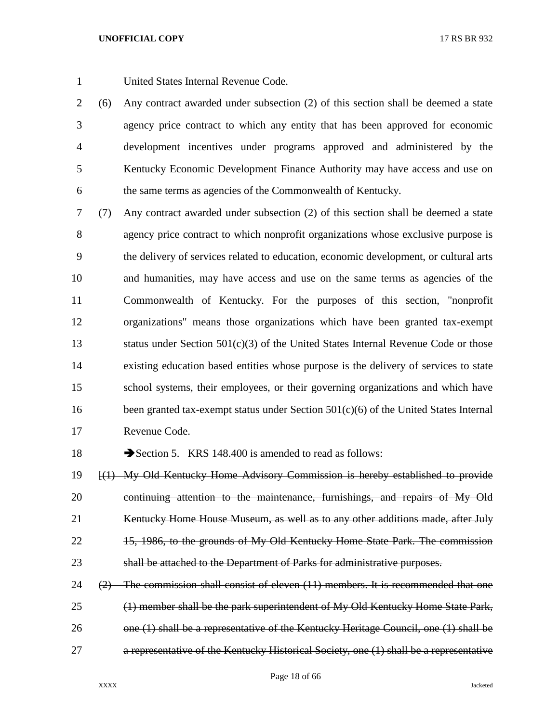United States Internal Revenue Code.

 (6) Any contract awarded under subsection (2) of this section shall be deemed a state agency price contract to which any entity that has been approved for economic development incentives under programs approved and administered by the Kentucky Economic Development Finance Authority may have access and use on the same terms as agencies of the Commonwealth of Kentucky.

 (7) Any contract awarded under subsection (2) of this section shall be deemed a state agency price contract to which nonprofit organizations whose exclusive purpose is the delivery of services related to education, economic development, or cultural arts and humanities, may have access and use on the same terms as agencies of the Commonwealth of Kentucky. For the purposes of this section, "nonprofit organizations" means those organizations which have been granted tax-exempt status under Section 501(c)(3) of the United States Internal Revenue Code or those existing education based entities whose purpose is the delivery of services to state school systems, their employees, or their governing organizations and which have 16 been granted tax-exempt status under Section 501(c)(6) of the United States Internal Revenue Code.

18 Section 5. KRS 148.400 is amended to read as follows:

 [(1) My Old Kentucky Home Advisory Commission is hereby established to provide 20 continuing attention to the maintenance, furnishings, and repairs of My Old 21 Kentucky Home House Museum, as well as to any other additions made, after July 15, 1986, to the grounds of My Old Kentucky Home State Park. The commission shall be attached to the Department of Parks for administrative purposes.

 ( $2$ ) The commission shall consist of eleven  $(11)$  members. It is recommended that one (1) member shall be the park superintendent of My Old Kentucky Home State Park, 26 one (1) shall be a representative of the Kentucky Heritage Council, one (1) shall be a representative of the Kentucky Historical Society, one (1) shall be a representative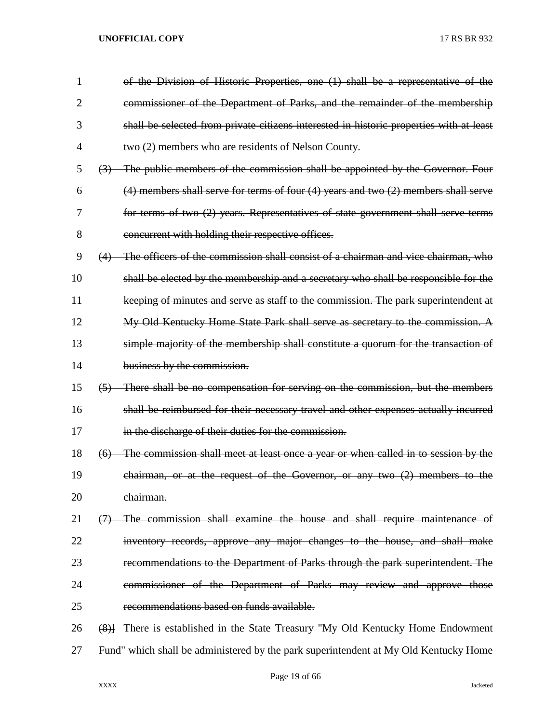| 1              |                   | of the Division of Historic Properties, one (1) shall be a representative of the          |
|----------------|-------------------|-------------------------------------------------------------------------------------------|
| $\overline{2}$ |                   | commissioner of the Department of Parks, and the remainder of the membership              |
| 3              |                   | shall be selected from private citizens interested in historic properties with at least   |
| 4              |                   | two (2) members who are residents of Nelson County.                                       |
| 5              |                   | (3) The public members of the commission shall be appointed by the Governor. Four         |
| 6              |                   | $(4)$ members shall serve for terms of four $(4)$ years and two $(2)$ members shall serve |
| 7              |                   | for terms of two (2) years. Representatives of state government shall serve terms         |
| 8              |                   | concurrent with holding their respective offices.                                         |
| 9              |                   | (4) The officers of the commission shall consist of a chairman and vice chairman, who     |
| 10             |                   | shall be elected by the membership and a secretary who shall be responsible for the       |
| 11             |                   | keeping of minutes and serve as staff to the commission. The park superintendent at       |
| 12             |                   | My Old Kentucky Home State Park shall serve as secretary to the commission. A             |
| 13             |                   | simple majority of the membership shall constitute a quorum for the transaction of        |
| 14             |                   | business by the commission.                                                               |
| 15             |                   | (5) There shall be no compensation for serving on the commission, but the members         |
| 16             |                   | shall be reimbursed for their necessary travel and other expenses actually incurred       |
| 17             |                   | in the discharge of their duties for the commission.                                      |
| 18             | (6)               | The commission shall meet at least once a year or when called in to session by the        |
| 19             |                   | chairman, or at the request of the Governor, or any two $(2)$ members to the              |
| 20             |                   | chairman.                                                                                 |
| 21             | $\leftrightarrow$ | The commission shall examine the house and shall require maintenance of                   |
| 22             |                   | inventory records, approve any major changes to the house, and shall make                 |
| 23             |                   | recommendations to the Department of Parks through the park superintendent. The           |
| 24             |                   | commissioner of the Department of Parks may review and approve those                      |
| 25             |                   | recommendations based on funds available.                                                 |
| 26             | $\left( 8\right)$ | There is established in the State Treasury "My Old Kentucky Home Endowment                |
| 27             |                   | Fund" which shall be administered by the park superintendent at My Old Kentucky Home      |

Page 19 of 66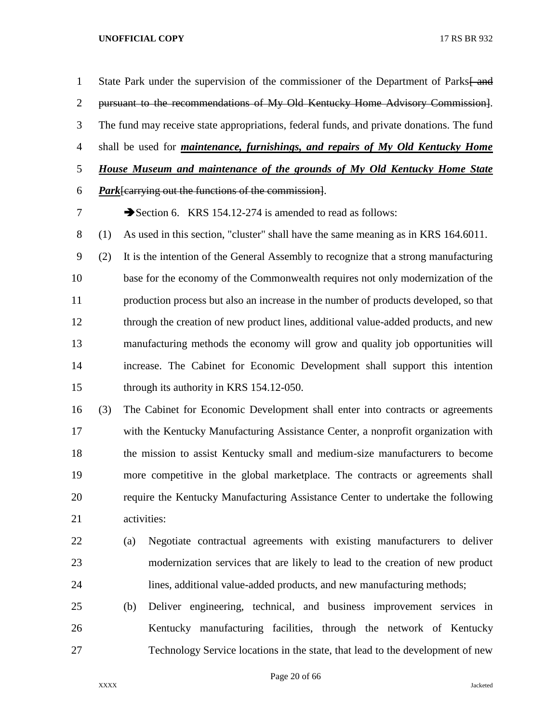1 State Park under the supervision of the commissioner of the Department of Parks—and pursuant to the recommendations of My Old Kentucky Home Advisory Commission]. The fund may receive state appropriations, federal funds, and private donations. The fund shall be used for *maintenance, furnishings, and repairs of My Old Kentucky Home House Museum and maintenance of the grounds of My Old Kentucky Home State Park*[carrying out the functions of the commission]. 7 Section 6. KRS 154.12-274 is amended to read as follows: (1) As used in this section, "cluster" shall have the same meaning as in KRS 164.6011. (2) It is the intention of the General Assembly to recognize that a strong manufacturing base for the economy of the Commonwealth requires not only modernization of the production process but also an increase in the number of products developed, so that through the creation of new product lines, additional value-added products, and new manufacturing methods the economy will grow and quality job opportunities will increase. The Cabinet for Economic Development shall support this intention through its authority in KRS 154.12-050. (3) The Cabinet for Economic Development shall enter into contracts or agreements with the Kentucky Manufacturing Assistance Center, a nonprofit organization with the mission to assist Kentucky small and medium-size manufacturers to become more competitive in the global marketplace. The contracts or agreements shall require the Kentucky Manufacturing Assistance Center to undertake the following activities: (a) Negotiate contractual agreements with existing manufacturers to deliver modernization services that are likely to lead to the creation of new product lines, additional value-added products, and new manufacturing methods; (b) Deliver engineering, technical, and business improvement services in Kentucky manufacturing facilities, through the network of Kentucky Technology Service locations in the state, that lead to the development of new

Page 20 of 66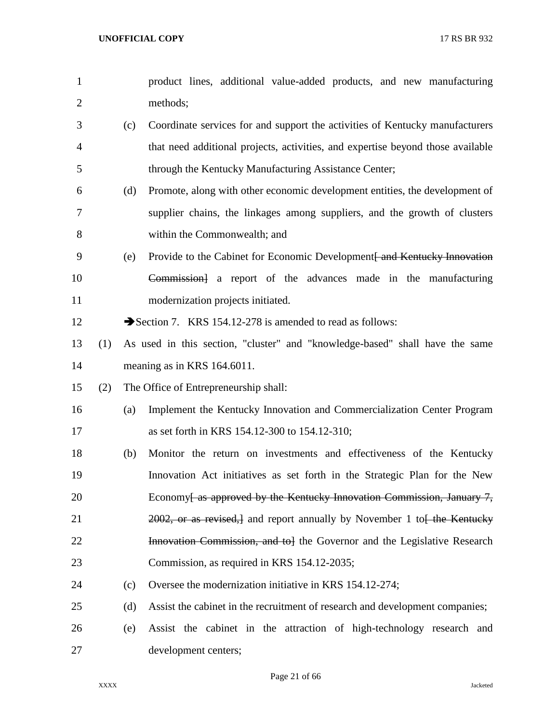| $\mathbf{1}$   |     |     | product lines, additional value-added products, and new manufacturing              |
|----------------|-----|-----|------------------------------------------------------------------------------------|
| $\overline{2}$ |     |     | methods;                                                                           |
| 3              |     | (c) | Coordinate services for and support the activities of Kentucky manufacturers       |
| 4              |     |     | that need additional projects, activities, and expertise beyond those available    |
| 5              |     |     | through the Kentucky Manufacturing Assistance Center;                              |
| 6              |     | (d) | Promote, along with other economic development entities, the development of        |
| 7              |     |     | supplier chains, the linkages among suppliers, and the growth of clusters          |
| 8              |     |     | within the Commonwealth; and                                                       |
| 9              |     | (e) | Provide to the Cabinet for Economic Development and Kentucky Innovation            |
| 10             |     |     | Commission] a report of the advances made in the manufacturing                     |
| 11             |     |     | modernization projects initiated.                                                  |
| 12             |     |     | Section 7. KRS 154.12-278 is amended to read as follows:                           |
| 13             | (1) |     | As used in this section, "cluster" and "knowledge-based" shall have the same       |
| 14             |     |     | meaning as in KRS 164.6011.                                                        |
| 15             | (2) |     | The Office of Entrepreneurship shall:                                              |
| 16             |     | (a) | Implement the Kentucky Innovation and Commercialization Center Program             |
| 17             |     |     | as set forth in KRS 154.12-300 to 154.12-310;                                      |
| 18             |     | (b) | Monitor the return on investments and effectiveness of the Kentucky                |
| 19             |     |     | Innovation Act initiatives as set forth in the Strategic Plan for the New          |
| 20             |     |     | Economy <del>[ as approved by the Kentucky Innovation Commission, January 7,</del> |
| 21             |     |     | 2002, or as revised, and report annually by November 1 to the Kentucky             |
| 22             |     |     | <b>Innovation Commission, and to</b> the Governor and the Legislative Research     |
| 23             |     |     | Commission, as required in KRS 154.12-2035;                                        |
| 24             |     | (c) | Oversee the modernization initiative in KRS 154.12-274;                            |
| 25             |     | (d) | Assist the cabinet in the recruitment of research and development companies;       |
| 26             |     | (e) | Assist the cabinet in the attraction of high-technology research and               |
| 27             |     |     | development centers;                                                               |

Page 21 of 66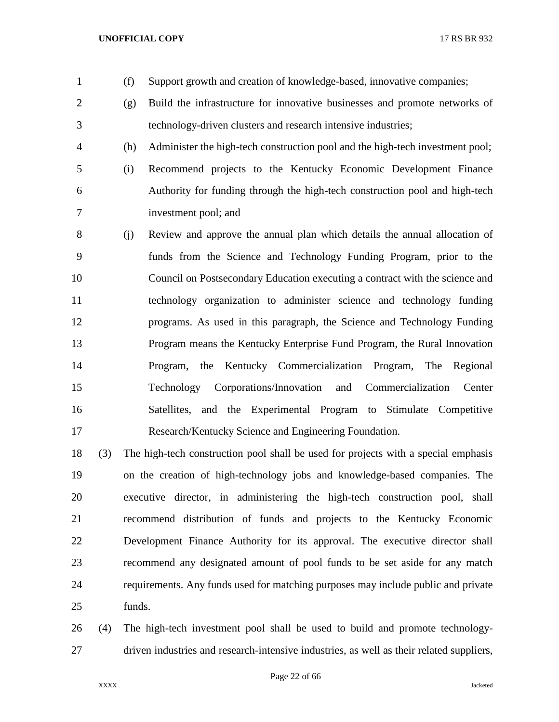- (f) Support growth and creation of knowledge-based, innovative companies;
- (g) Build the infrastructure for innovative businesses and promote networks of technology-driven clusters and research intensive industries;
- (h) Administer the high-tech construction pool and the high-tech investment pool;
	-
- (i) Recommend projects to the Kentucky Economic Development Finance Authority for funding through the high-tech construction pool and high-tech investment pool; and
- (j) Review and approve the annual plan which details the annual allocation of funds from the Science and Technology Funding Program, prior to the Council on Postsecondary Education executing a contract with the science and technology organization to administer science and technology funding programs. As used in this paragraph, the Science and Technology Funding Program means the Kentucky Enterprise Fund Program, the Rural Innovation Program, the Kentucky Commercialization Program, The Regional Technology Corporations/Innovation and Commercialization Center Satellites, and the Experimental Program to Stimulate Competitive Research/Kentucky Science and Engineering Foundation.
- (3) The high-tech construction pool shall be used for projects with a special emphasis on the creation of high-technology jobs and knowledge-based companies. The executive director, in administering the high-tech construction pool, shall recommend distribution of funds and projects to the Kentucky Economic Development Finance Authority for its approval. The executive director shall recommend any designated amount of pool funds to be set aside for any match requirements. Any funds used for matching purposes may include public and private funds.
- (4) The high-tech investment pool shall be used to build and promote technology-driven industries and research-intensive industries, as well as their related suppliers,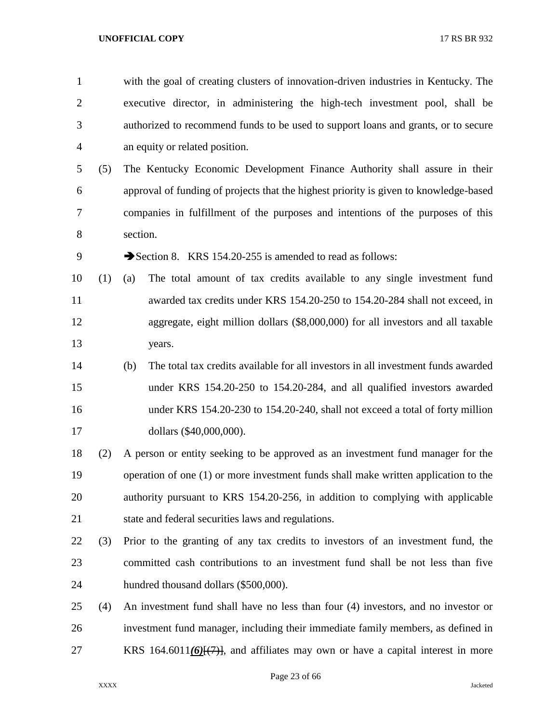with the goal of creating clusters of innovation-driven industries in Kentucky. The executive director, in administering the high-tech investment pool, shall be authorized to recommend funds to be used to support loans and grants, or to secure an equity or related position.

 (5) The Kentucky Economic Development Finance Authority shall assure in their approval of funding of projects that the highest priority is given to knowledge-based companies in fulfillment of the purposes and intentions of the purposes of this section.

9 Section 8. KRS 154.20-255 is amended to read as follows:

- (1) (a) The total amount of tax credits available to any single investment fund awarded tax credits under KRS 154.20-250 to 154.20-284 shall not exceed, in aggregate, eight million dollars (\$8,000,000) for all investors and all taxable years.
- (b) The total tax credits available for all investors in all investment funds awarded under KRS 154.20-250 to 154.20-284, and all qualified investors awarded under KRS 154.20-230 to 154.20-240, shall not exceed a total of forty million dollars (\$40,000,000).
- (2) A person or entity seeking to be approved as an investment fund manager for the operation of one (1) or more investment funds shall make written application to the authority pursuant to KRS 154.20-256, in addition to complying with applicable 21 state and federal securities laws and regulations.
- (3) Prior to the granting of any tax credits to investors of an investment fund, the committed cash contributions to an investment fund shall be not less than five hundred thousand dollars (\$500,000).
- (4) An investment fund shall have no less than four (4) investors, and no investor or investment fund manager, including their immediate family members, as defined in KRS 164.6011*(6)*[(7)], and affiliates may own or have a capital interest in more

Page 23 of 66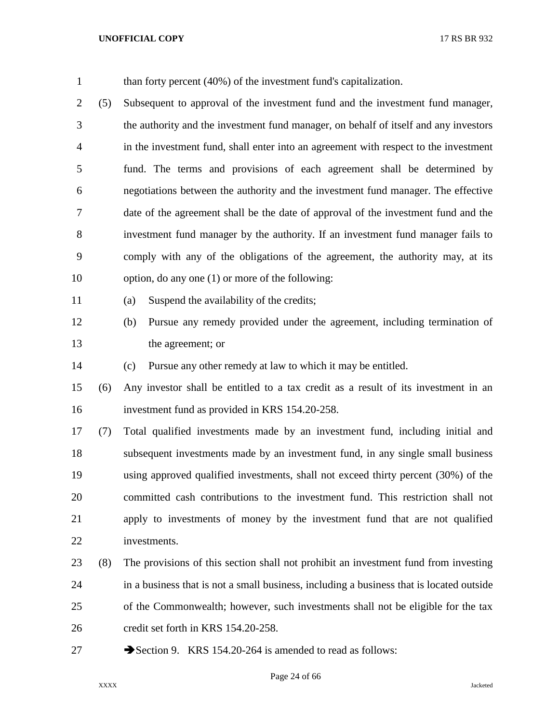| $\mathbf{1}$ |     | than forty percent $(40\%)$ of the investment fund's capitalization.                     |
|--------------|-----|------------------------------------------------------------------------------------------|
| 2            | (5) | Subsequent to approval of the investment fund and the investment fund manager,           |
| 3            |     | the authority and the investment fund manager, on behalf of itself and any investors     |
| 4            |     | in the investment fund, shall enter into an agreement with respect to the investment     |
| 5            |     | fund. The terms and provisions of each agreement shall be determined by                  |
| 6            |     | negotiations between the authority and the investment fund manager. The effective        |
| 7            |     | date of the agreement shall be the date of approval of the investment fund and the       |
| 8            |     | investment fund manager by the authority. If an investment fund manager fails to         |
| 9            |     | comply with any of the obligations of the agreement, the authority may, at its           |
| 10           |     | option, do any one (1) or more of the following:                                         |
| 11           |     | Suspend the availability of the credits;<br>(a)                                          |
| 12           |     | Pursue any remedy provided under the agreement, including termination of<br>(b)          |
| 13           |     | the agreement; or                                                                        |
| 14           |     | Pursue any other remedy at law to which it may be entitled.<br>(c)                       |
| 15           | (6) | Any investor shall be entitled to a tax credit as a result of its investment in an       |
| 16           |     | investment fund as provided in KRS 154.20-258.                                           |
| 17           | (7) | Total qualified investments made by an investment fund, including initial and            |
| 18           |     | subsequent investments made by an investment fund, in any single small business          |
| 19           |     | using approved qualified investments, shall not exceed thirty percent (30%) of the       |
| 20           |     | committed cash contributions to the investment fund. This restriction shall not          |
| 21           |     | apply to investments of money by the investment fund that are not qualified              |
| 22           |     | investments.                                                                             |
| 23           | (8) | The provisions of this section shall not prohibit an investment fund from investing      |
| 24           |     | in a business that is not a small business, including a business that is located outside |
| 25           |     | of the Commonwealth; however, such investments shall not be eligible for the tax         |
| 26           |     | credit set forth in KRS 154.20-258.                                                      |
| 27           |     | Section 9. KRS 154.20-264 is amended to read as follows:                                 |

Page 24 of 66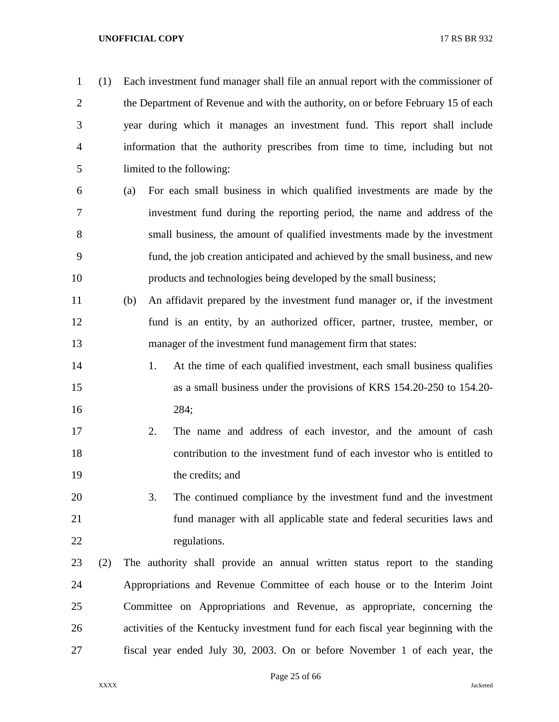(1) Each investment fund manager shall file an annual report with the commissioner of the Department of Revenue and with the authority, on or before February 15 of each year during which it manages an investment fund. This report shall include information that the authority prescribes from time to time, including but not limited to the following: (a) For each small business in which qualified investments are made by the investment fund during the reporting period, the name and address of the small business, the amount of qualified investments made by the investment fund, the job creation anticipated and achieved by the small business, and new products and technologies being developed by the small business; (b) An affidavit prepared by the investment fund manager or, if the investment fund is an entity, by an authorized officer, partner, trustee, member, or manager of the investment fund management firm that states: 14 1. At the time of each qualified investment, each small business qualifies as a small business under the provisions of KRS 154.20-250 to 154.20- 284; 2. The name and address of each investor, and the amount of cash contribution to the investment fund of each investor who is entitled to the credits; and 3. The continued compliance by the investment fund and the investment fund manager with all applicable state and federal securities laws and 22 regulations. (2) The authority shall provide an annual written status report to the standing Appropriations and Revenue Committee of each house or to the Interim Joint Committee on Appropriations and Revenue, as appropriate, concerning the activities of the Kentucky investment fund for each fiscal year beginning with the fiscal year ended July 30, 2003. On or before November 1 of each year, the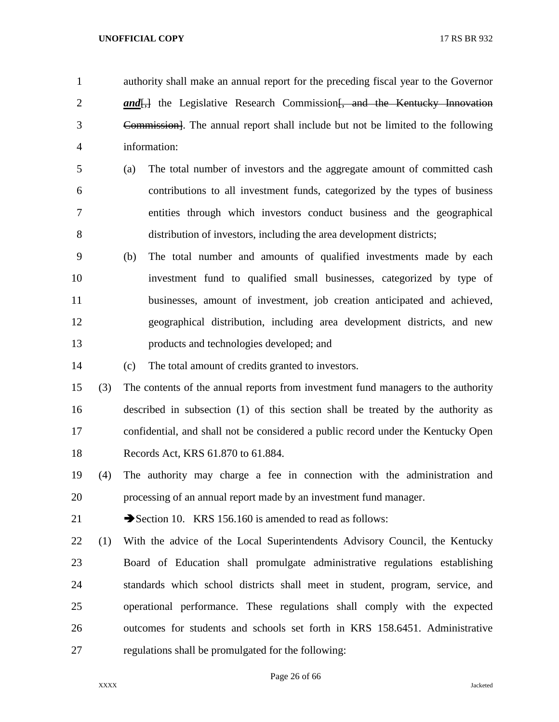authority shall make an annual report for the preceding fiscal year to the Governor **and**, the Legislative Research Commission, and the Kentucky Innovation Commission]. The annual report shall include but not be limited to the following information:

- (a) The total number of investors and the aggregate amount of committed cash contributions to all investment funds, categorized by the types of business entities through which investors conduct business and the geographical distribution of investors, including the area development districts;
- (b) The total number and amounts of qualified investments made by each investment fund to qualified small businesses, categorized by type of businesses, amount of investment, job creation anticipated and achieved, geographical distribution, including area development districts, and new products and technologies developed; and
- (c) The total amount of credits granted to investors.

 (3) The contents of the annual reports from investment fund managers to the authority described in subsection (1) of this section shall be treated by the authority as confidential, and shall not be considered a public record under the Kentucky Open Records Act, KRS 61.870 to 61.884.

 (4) The authority may charge a fee in connection with the administration and processing of an annual report made by an investment fund manager.

21 Section 10. KRS 156.160 is amended to read as follows:

 (1) With the advice of the Local Superintendents Advisory Council, the Kentucky Board of Education shall promulgate administrative regulations establishing standards which school districts shall meet in student, program, service, and operational performance. These regulations shall comply with the expected outcomes for students and schools set forth in KRS 158.6451. Administrative regulations shall be promulgated for the following:

Page 26 of 66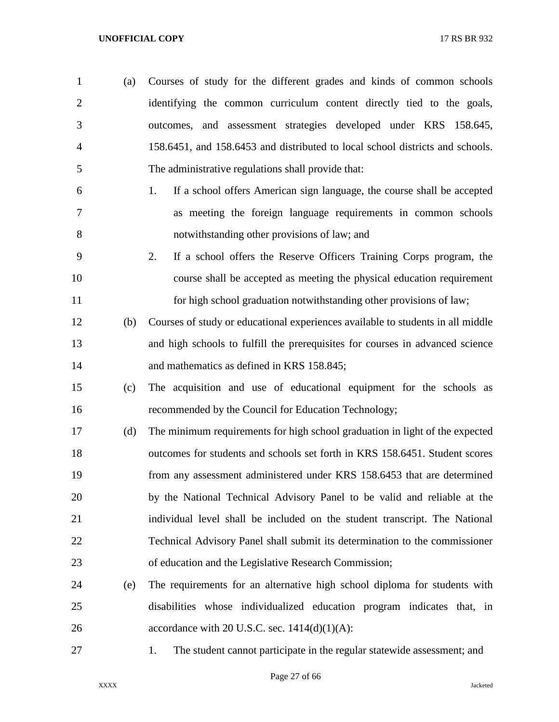- (a) Courses of study for the different grades and kinds of common schools identifying the common curriculum content directly tied to the goals, outcomes, and assessment strategies developed under KRS 158.645, 158.6451, and 158.6453 and distributed to local school districts and schools. The administrative regulations shall provide that:
- 1. If a school offers American sign language, the course shall be accepted as meeting the foreign language requirements in common schools notwithstanding other provisions of law; and
- 2. If a school offers the Reserve Officers Training Corps program, the course shall be accepted as meeting the physical education requirement for high school graduation notwithstanding other provisions of law;
- (b) Courses of study or educational experiences available to students in all middle and high schools to fulfill the prerequisites for courses in advanced science and mathematics as defined in KRS 158.845;
- (c) The acquisition and use of educational equipment for the schools as recommended by the Council for Education Technology;
- (d) The minimum requirements for high school graduation in light of the expected outcomes for students and schools set forth in KRS 158.6451. Student scores from any assessment administered under KRS 158.6453 that are determined by the National Technical Advisory Panel to be valid and reliable at the individual level shall be included on the student transcript. The National Technical Advisory Panel shall submit its determination to the commissioner of education and the Legislative Research Commission;
- (e) The requirements for an alternative high school diploma for students with disabilities whose individualized education program indicates that, in 26 accordance with 20 U.S.C. sec.  $1414(d)(1)(A)$ :
- 

1. The student cannot participate in the regular statewide assessment; and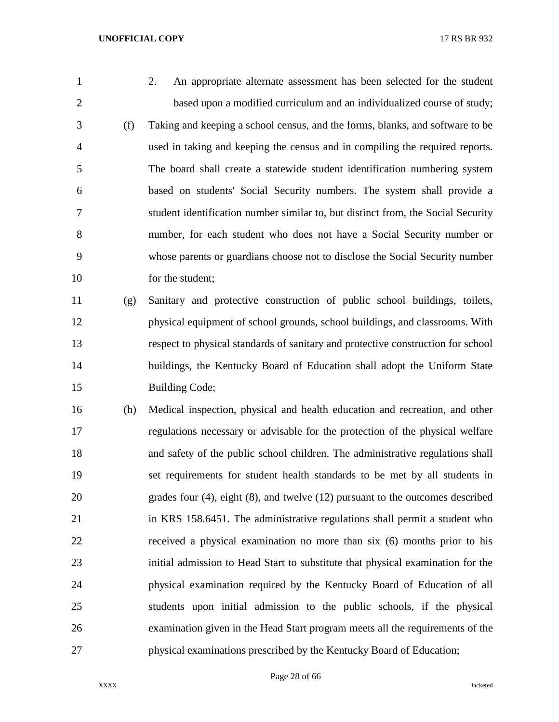2. An appropriate alternate assessment has been selected for the student based upon a modified curriculum and an individualized course of study; (f) Taking and keeping a school census, and the forms, blanks, and software to be used in taking and keeping the census and in compiling the required reports. The board shall create a statewide student identification numbering system based on students' Social Security numbers. The system shall provide a student identification number similar to, but distinct from, the Social Security number, for each student who does not have a Social Security number or whose parents or guardians choose not to disclose the Social Security number 10 for the student;

 (g) Sanitary and protective construction of public school buildings, toilets, physical equipment of school grounds, school buildings, and classrooms. With respect to physical standards of sanitary and protective construction for school buildings, the Kentucky Board of Education shall adopt the Uniform State 15 Building Code;

 (h) Medical inspection, physical and health education and recreation, and other regulations necessary or advisable for the protection of the physical welfare and safety of the public school children. The administrative regulations shall set requirements for student health standards to be met by all students in grades four (4), eight (8), and twelve (12) pursuant to the outcomes described in KRS 158.6451. The administrative regulations shall permit a student who received a physical examination no more than six (6) months prior to his initial admission to Head Start to substitute that physical examination for the physical examination required by the Kentucky Board of Education of all students upon initial admission to the public schools, if the physical examination given in the Head Start program meets all the requirements of the physical examinations prescribed by the Kentucky Board of Education;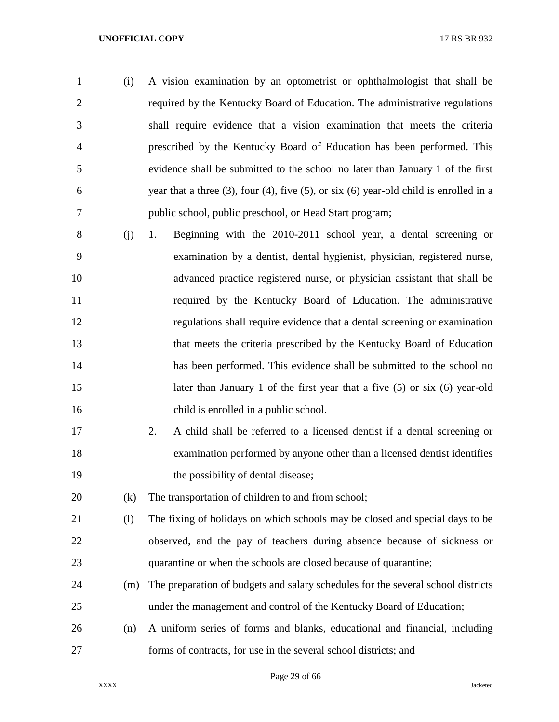- (i) A vision examination by an optometrist or ophthalmologist that shall be required by the Kentucky Board of Education. The administrative regulations shall require evidence that a vision examination that meets the criteria prescribed by the Kentucky Board of Education has been performed. This evidence shall be submitted to the school no later than January 1 of the first year that a three (3), four (4), five (5), or six (6) year-old child is enrolled in a public school, public preschool, or Head Start program;
- (j) 1. Beginning with the 2010-2011 school year, a dental screening or examination by a dentist, dental hygienist, physician, registered nurse, advanced practice registered nurse, or physician assistant that shall be required by the Kentucky Board of Education. The administrative regulations shall require evidence that a dental screening or examination that meets the criteria prescribed by the Kentucky Board of Education has been performed. This evidence shall be submitted to the school no later than January 1 of the first year that a five (5) or six (6) year-old child is enrolled in a public school.
- 2. A child shall be referred to a licensed dentist if a dental screening or examination performed by anyone other than a licensed dentist identifies 19 the possibility of dental disease;

(k) The transportation of children to and from school;

- (l) The fixing of holidays on which schools may be closed and special days to be observed, and the pay of teachers during absence because of sickness or quarantine or when the schools are closed because of quarantine;
- (m) The preparation of budgets and salary schedules for the several school districts under the management and control of the Kentucky Board of Education;
- (n) A uniform series of forms and blanks, educational and financial, including forms of contracts, for use in the several school districts; and

Page 29 of 66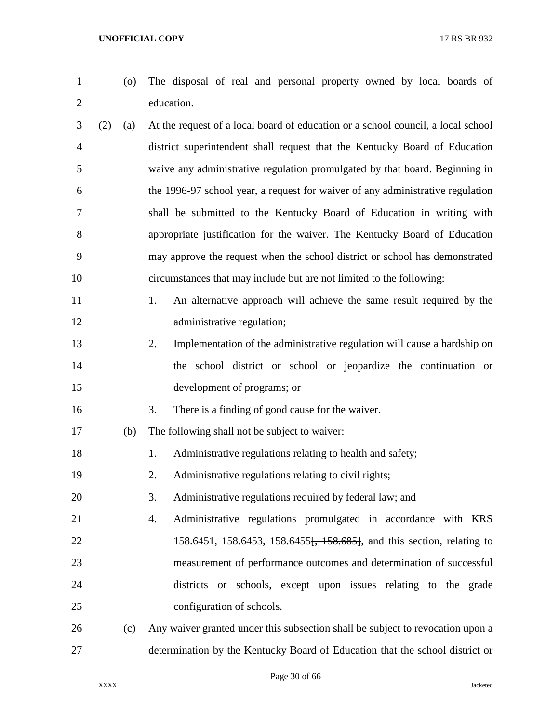- 
- (o) The disposal of real and personal property owned by local boards of education.
- (2) (a) At the request of a local board of education or a school council, a local school district superintendent shall request that the Kentucky Board of Education waive any administrative regulation promulgated by that board. Beginning in the 1996-97 school year, a request for waiver of any administrative regulation shall be submitted to the Kentucky Board of Education in writing with appropriate justification for the waiver. The Kentucky Board of Education may approve the request when the school district or school has demonstrated circumstances that may include but are not limited to the following:
- 11 1. An alternative approach will achieve the same result required by the 12 administrative regulation;
- 2. Implementation of the administrative regulation will cause a hardship on the school district or school or jeopardize the continuation or development of programs; or
- 3. There is a finding of good cause for the waiver.
- (b) The following shall not be subject to waiver:
- 18 1. Administrative regulations relating to health and safety;
- 2. Administrative regulations relating to civil rights;
- 3. Administrative regulations required by federal law; and
- 4. Administrative regulations promulgated in accordance with KRS 22 158.6451, 158.6453, 158.6455<del>, 158.685]</del>, and this section, relating to measurement of performance outcomes and determination of successful districts or schools, except upon issues relating to the grade configuration of schools.
- (c) Any waiver granted under this subsection shall be subject to revocation upon a determination by the Kentucky Board of Education that the school district or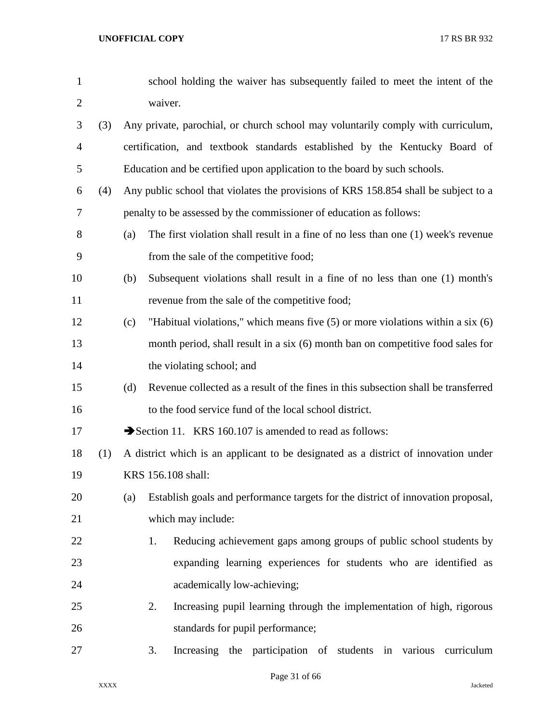| $\mathbf{1}$   |     |     | school holding the waiver has subsequently failed to meet the intent of the         |
|----------------|-----|-----|-------------------------------------------------------------------------------------|
| $\overline{2}$ |     |     | waiver.                                                                             |
| 3              | (3) |     | Any private, parochial, or church school may voluntarily comply with curriculum,    |
| $\overline{4}$ |     |     | certification, and textbook standards established by the Kentucky Board of          |
| 5              |     |     | Education and be certified upon application to the board by such schools.           |
| 6              | (4) |     | Any public school that violates the provisions of KRS 158.854 shall be subject to a |
| 7              |     |     | penalty to be assessed by the commissioner of education as follows:                 |
| 8              |     | (a) | The first violation shall result in a fine of no less than one (1) week's revenue   |
| 9              |     |     | from the sale of the competitive food;                                              |
| 10             |     | (b) | Subsequent violations shall result in a fine of no less than one (1) month's        |
| 11             |     |     | revenue from the sale of the competitive food;                                      |
| 12             |     | (c) | "Habitual violations," which means five $(5)$ or more violations within a six $(6)$ |
| 13             |     |     | month period, shall result in a six (6) month ban on competitive food sales for     |
| 14             |     |     | the violating school; and                                                           |
| 15             |     | (d) | Revenue collected as a result of the fines in this subsection shall be transferred  |
| 16             |     |     | to the food service fund of the local school district.                              |
| 17             |     |     | Section 11. KRS 160.107 is amended to read as follows:                              |
| 18             | (1) |     | A district which is an applicant to be designated as a district of innovation under |
| 19             |     |     | KRS 156.108 shall:                                                                  |
| 20             |     | (a) | Establish goals and performance targets for the district of innovation proposal,    |
| 21             |     |     | which may include:                                                                  |
| 22             |     |     | Reducing achievement gaps among groups of public school students by<br>1.           |
| 23             |     |     | expanding learning experiences for students who are identified as                   |
| 24             |     |     | academically low-achieving;                                                         |
| 25             |     |     | Increasing pupil learning through the implementation of high, rigorous<br>2.        |
| 26             |     |     | standards for pupil performance;                                                    |
| 27             |     |     | Increasing the participation of students in various<br>3.<br>curriculum             |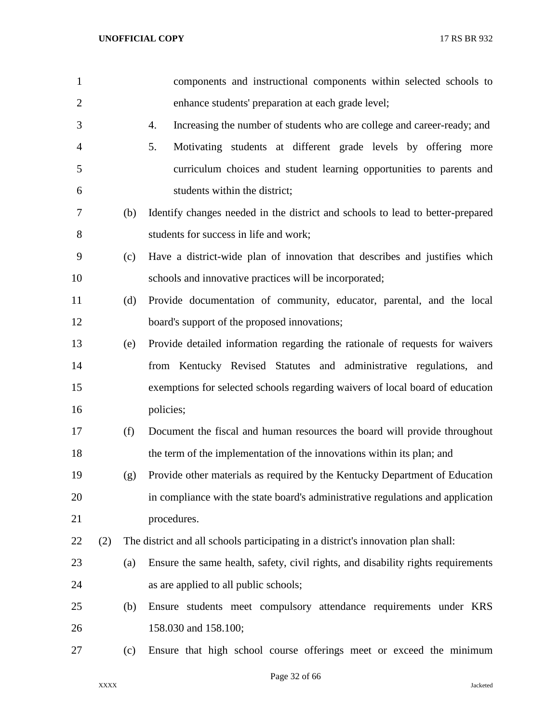| $\mathbf{1}$   |     |     | components and instructional components within selected schools to                |
|----------------|-----|-----|-----------------------------------------------------------------------------------|
| $\overline{2}$ |     |     | enhance students' preparation at each grade level;                                |
| 3              |     |     | 4.<br>Increasing the number of students who are college and career-ready; and     |
| $\overline{4}$ |     |     | 5.<br>Motivating students at different grade levels by offering more              |
| 5              |     |     | curriculum choices and student learning opportunities to parents and              |
| 6              |     |     | students within the district;                                                     |
| 7              |     | (b) | Identify changes needed in the district and schools to lead to better-prepared    |
| 8              |     |     | students for success in life and work;                                            |
| 9              |     | (c) | Have a district-wide plan of innovation that describes and justifies which        |
| 10             |     |     | schools and innovative practices will be incorporated;                            |
| 11             |     | (d) | Provide documentation of community, educator, parental, and the local             |
| 12             |     |     | board's support of the proposed innovations;                                      |
| 13             |     | (e) | Provide detailed information regarding the rationale of requests for waivers      |
| 14             |     |     | from Kentucky Revised Statutes and administrative regulations, and                |
| 15             |     |     | exemptions for selected schools regarding waivers of local board of education     |
| 16             |     |     | policies;                                                                         |
| 17             |     | (f) | Document the fiscal and human resources the board will provide throughout         |
| 18             |     |     | the term of the implementation of the innovations within its plan; and            |
| 19             |     | (g) | Provide other materials as required by the Kentucky Department of Education       |
| 20             |     |     | in compliance with the state board's administrative regulations and application   |
| 21             |     |     | procedures.                                                                       |
| 22             | (2) |     | The district and all schools participating in a district's innovation plan shall: |
| 23             |     | (a) | Ensure the same health, safety, civil rights, and disability rights requirements  |
| 24             |     |     | as are applied to all public schools;                                             |
| 25             |     | (b) | Ensure students meet compulsory attendance requirements under KRS                 |
| 26             |     |     | 158.030 and 158.100;                                                              |
| 27             |     | (c) | Ensure that high school course offerings meet or exceed the minimum               |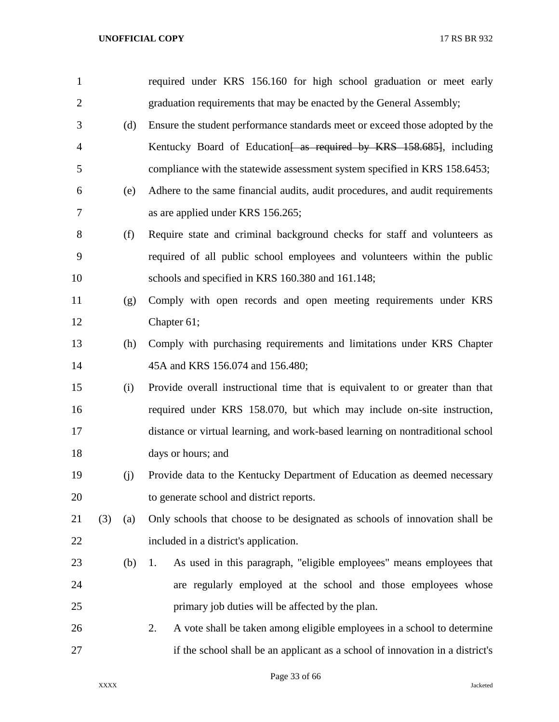| $\mathbf{1}$   |     |     | required under KRS 156.160 for high school graduation or meet early            |
|----------------|-----|-----|--------------------------------------------------------------------------------|
| $\overline{2}$ |     |     | graduation requirements that may be enacted by the General Assembly;           |
| 3              |     | (d) | Ensure the student performance standards meet or exceed those adopted by the   |
| $\overline{4}$ |     |     | Kentucky Board of Education as required by KRS 158.685. including              |
| 5              |     |     | compliance with the statewide assessment system specified in KRS 158.6453;     |
| 6              |     | (e) | Adhere to the same financial audits, audit procedures, and audit requirements  |
| 7              |     |     | as are applied under KRS 156.265;                                              |
| 8              |     | (f) | Require state and criminal background checks for staff and volunteers as       |
| 9              |     |     | required of all public school employees and volunteers within the public       |
| 10             |     |     | schools and specified in KRS 160.380 and 161.148;                              |
| 11             |     | (g) | Comply with open records and open meeting requirements under KRS               |
| 12             |     |     | Chapter 61;                                                                    |
| 13             |     | (h) | Comply with purchasing requirements and limitations under KRS Chapter          |
| 14             |     |     | 45A and KRS 156.074 and 156.480;                                               |
| 15             |     | (i) | Provide overall instructional time that is equivalent to or greater than that  |
| 16             |     |     | required under KRS 158.070, but which may include on-site instruction,         |
| 17             |     |     | distance or virtual learning, and work-based learning on nontraditional school |
| 18             |     |     | days or hours; and                                                             |
| 19             |     | (j) | Provide data to the Kentucky Department of Education as deemed necessary       |
| 20             |     |     | to generate school and district reports.                                       |
| 21             | (3) | (a) | Only schools that choose to be designated as schools of innovation shall be    |
| 22             |     |     | included in a district's application.                                          |
| 23             |     | (b) | As used in this paragraph, "eligible employees" means employees that<br>1.     |
| 24             |     |     | are regularly employed at the school and those employees whose                 |
| 25             |     |     | primary job duties will be affected by the plan.                               |
| 26             |     |     | 2.<br>A vote shall be taken among eligible employees in a school to determine  |
| 27             |     |     | if the school shall be an applicant as a school of innovation in a district's  |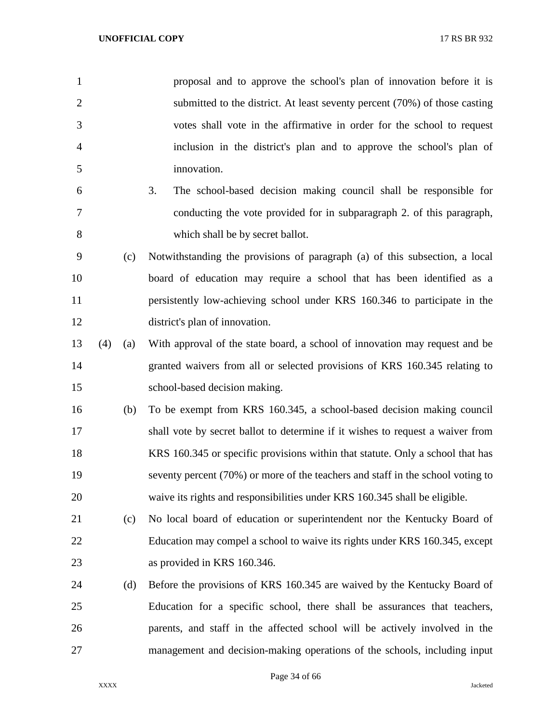| $\mathbf{1}$   |     |     | proposal and to approve the school's plan of innovation before it is            |
|----------------|-----|-----|---------------------------------------------------------------------------------|
| $\overline{2}$ |     |     | submitted to the district. At least seventy percent (70%) of those casting      |
| 3              |     |     | votes shall vote in the affirmative in order for the school to request          |
| 4              |     |     | inclusion in the district's plan and to approve the school's plan of            |
| 5              |     |     | innovation.                                                                     |
| 6              |     |     | 3.<br>The school-based decision making council shall be responsible for         |
| 7              |     |     | conducting the vote provided for in subparagraph 2. of this paragraph,          |
| 8              |     |     | which shall be by secret ballot.                                                |
| 9              |     | (c) | Notwithstanding the provisions of paragraph (a) of this subsection, a local     |
| 10             |     |     | board of education may require a school that has been identified as a           |
| 11             |     |     | persistently low-achieving school under KRS 160.346 to participate in the       |
| 12             |     |     | district's plan of innovation.                                                  |
| 13             | (4) | (a) | With approval of the state board, a school of innovation may request and be     |
| 14             |     |     | granted waivers from all or selected provisions of KRS 160.345 relating to      |
| 15             |     |     | school-based decision making.                                                   |
| 16             |     | (b) | To be exempt from KRS 160.345, a school-based decision making council           |
| 17             |     |     | shall vote by secret ballot to determine if it wishes to request a waiver from  |
| 18             |     |     | KRS 160.345 or specific provisions within that statute. Only a school that has  |
| 19             |     |     | seventy percent (70%) or more of the teachers and staff in the school voting to |
| 20             |     |     | waive its rights and responsibilities under KRS 160.345 shall be eligible.      |
| 21             |     | (c) | No local board of education or superintendent nor the Kentucky Board of         |
| 22             |     |     | Education may compel a school to waive its rights under KRS 160.345, except     |
| 23             |     |     | as provided in KRS 160.346.                                                     |
| 24             |     | (d) | Before the provisions of KRS 160.345 are waived by the Kentucky Board of        |
| 25             |     |     | Education for a specific school, there shall be assurances that teachers,       |
| 26             |     |     | parents, and staff in the affected school will be actively involved in the      |
| 27             |     |     | management and decision-making operations of the schools, including input       |

Page 34 of 66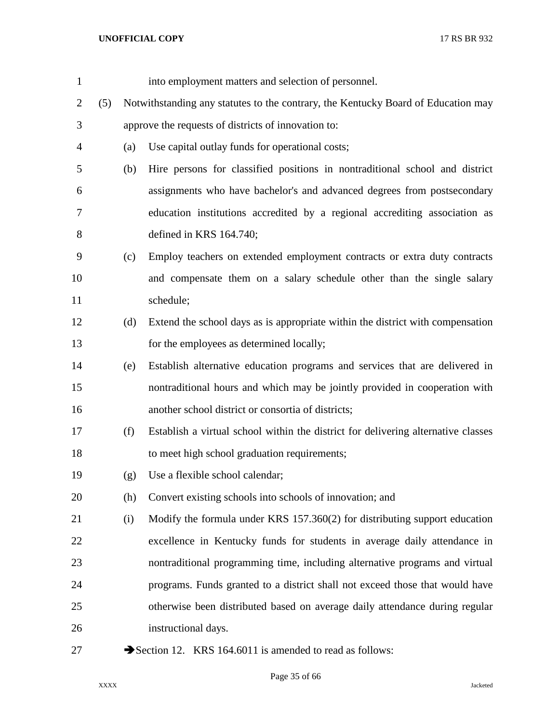| $\mathbf{1}$ |     |     | into employment matters and selection of personnel.                               |
|--------------|-----|-----|-----------------------------------------------------------------------------------|
| 2            | (5) |     | Notwithstanding any statutes to the contrary, the Kentucky Board of Education may |
| 3            |     |     | approve the requests of districts of innovation to:                               |
| 4            |     | (a) | Use capital outlay funds for operational costs;                                   |
| 5            |     | (b) | Hire persons for classified positions in nontraditional school and district       |
| 6            |     |     | assignments who have bachelor's and advanced degrees from postsecondary           |
| 7            |     |     | education institutions accredited by a regional accrediting association as        |
| 8            |     |     | defined in KRS $164.740$ ;                                                        |
| 9            |     | (c) | Employ teachers on extended employment contracts or extra duty contracts          |
| 10           |     |     | and compensate them on a salary schedule other than the single salary             |
| 11           |     |     | schedule;                                                                         |
| 12           |     | (d) | Extend the school days as is appropriate within the district with compensation    |
| 13           |     |     | for the employees as determined locally;                                          |
| 14           |     | (e) | Establish alternative education programs and services that are delivered in       |
| 15           |     |     | nontraditional hours and which may be jointly provided in cooperation with        |
| 16           |     |     | another school district or consortia of districts;                                |
| 17           |     | (f) | Establish a virtual school within the district for delivering alternative classes |
| 18           |     |     | to meet high school graduation requirements;                                      |
| 19           |     | (g) | Use a flexible school calendar;                                                   |
| 20           |     | (h) | Convert existing schools into schools of innovation; and                          |
| 21           |     | (i) | Modify the formula under KRS 157.360(2) for distributing support education        |
| 22           |     |     | excellence in Kentucky funds for students in average daily attendance in          |
| 23           |     |     | nontraditional programming time, including alternative programs and virtual       |
| 24           |     |     | programs. Funds granted to a district shall not exceed those that would have      |
| 25           |     |     | otherwise been distributed based on average daily attendance during regular       |
| 26           |     |     | instructional days.                                                               |
| 27           |     |     | Section 12. KRS 164.6011 is amended to read as follows:                           |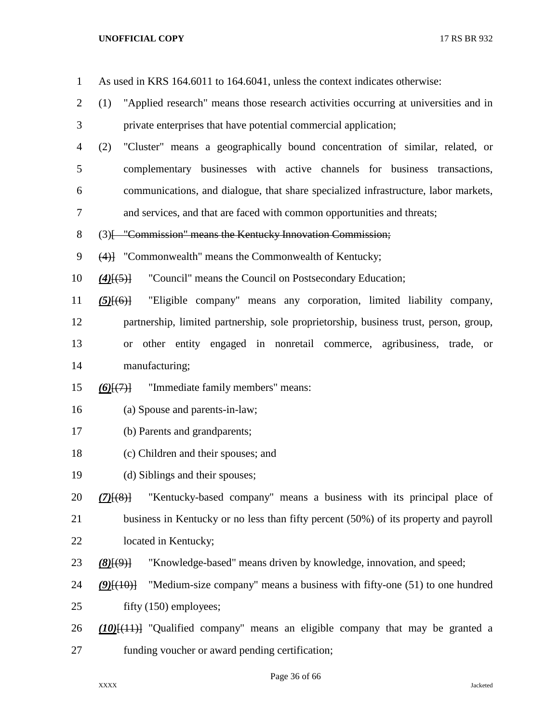| $\mathbf{1}$ | As used in KRS 164.6011 to 164.6041, unless the context indicates otherwise:                   |
|--------------|------------------------------------------------------------------------------------------------|
| 2            | "Applied research" means those research activities occurring at universities and in<br>(1)     |
| 3            | private enterprises that have potential commercial application;                                |
| 4            | "Cluster" means a geographically bound concentration of similar, related, or<br>(2)            |
| 5            | complementary businesses with active channels for business transactions,                       |
| 6            | communications, and dialogue, that share specialized infrastructure, labor markets,            |
| 7            | and services, and that are faced with common opportunities and threats;                        |
| 8            | (3) [ "Commission" means the Kentucky Innovation Commission;                                   |
| 9            | $(4)$ ] "Commonwealth" means the Commonwealth of Kentucky;                                     |
| 10           | "Council" means the Council on Postsecondary Education;<br>$(4)$ [ $(5)$ ]                     |
| 11           | "Eligible company" means any corporation, limited liability company,<br>$(5)$ $(6)$ }          |
| 12           | partnership, limited partnership, sole proprietorship, business trust, person, group,          |
| 13           | other entity engaged in nonretail commerce, agribusiness, trade,<br><b>or</b><br><sub>or</sub> |
| 14           | manufacturing;                                                                                 |
| 15           | "Immediate family members" means:<br>$(6)$ $(7)$                                               |
| 16           | (a) Spouse and parents-in-law;                                                                 |
| 17           | (b) Parents and grandparents;                                                                  |
| 18           | (c) Children and their spouses; and                                                            |
| 19           | (d) Siblings and their spouses;                                                                |
| 20           | "Kentucky-based company" means a business with its principal place of<br>$(7)$ $(8)$           |
| 21           | business in Kentucky or no less than fifty percent (50%) of its property and payroll           |
| 22           | located in Kentucky;                                                                           |
| 23           | "Knowledge-based" means driven by knowledge, innovation, and speed;<br>$(8)$ [ $(9)$ ]         |
| 24           | "Medium-size company" means a business with fifty-one (51) to one hundred<br>$(9)$ $(10)$      |
| 25           | fifty (150) employees;                                                                         |
| 26           | $(10)$ [ $(11)$ ] "Qualified company" means an eligible company that may be granted a          |
| 27           | funding voucher or award pending certification;                                                |

Page 36 of 66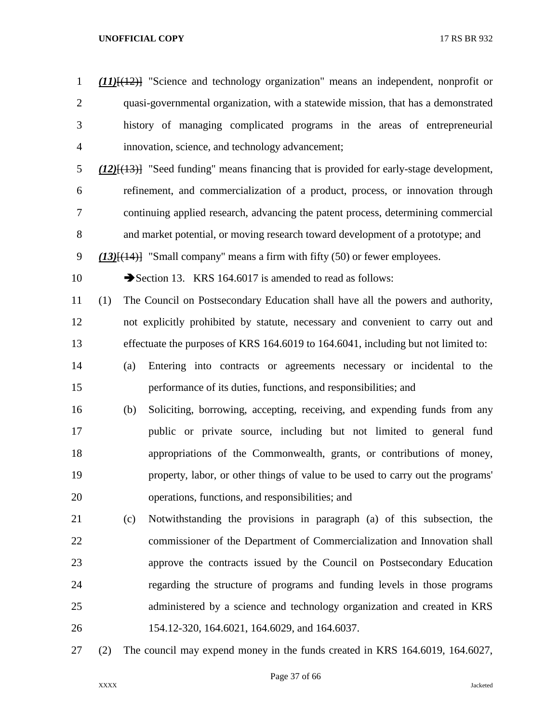| $\mathbf{1}$   |     | $(11)$ [ $(12)$ ] "Science and technology organization" means an independent, nonprofit or     |
|----------------|-----|------------------------------------------------------------------------------------------------|
| $\mathbf{2}$   |     | quasi-governmental organization, with a statewide mission, that has a demonstrated             |
| $\mathfrak{Z}$ |     | history of managing complicated programs in the areas of entrepreneurial                       |
| $\overline{4}$ |     | innovation, science, and technology advancement;                                               |
| $\mathfrak s$  |     | $(12)$ [ $(13)$ ] "Seed funding" means financing that is provided for early-stage development, |
| 6              |     | refinement, and commercialization of a product, process, or innovation through                 |
| $\tau$         |     | continuing applied research, advancing the patent process, determining commercial              |
| $8\,$          |     | and market potential, or moving research toward development of a prototype; and                |
| $\mathbf{9}$   |     | $(13)$ [ $(14)$ ] "Small company" means a firm with fifty (50) or fewer employees.             |
| 10             |     | Section 13. KRS 164.6017 is amended to read as follows:                                        |
| 11             | (1) | The Council on Postsecondary Education shall have all the powers and authority,                |
| 12             |     | not explicitly prohibited by statute, necessary and convenient to carry out and                |
| 13             |     | effectuate the purposes of KRS 164.6019 to 164.6041, including but not limited to:             |
| 14             |     | Entering into contracts or agreements necessary or incidental to the<br>(a)                    |
| 15             |     | performance of its duties, functions, and responsibilities; and                                |
| 16             |     | Soliciting, borrowing, accepting, receiving, and expending funds from any<br>(b)               |
| 17             |     | public or private source, including but not limited to general fund                            |
| 18             |     | appropriations of the Commonwealth, grants, or contributions of money,                         |
| 19             |     | property, labor, or other things of value to be used to carry out the programs'                |
| 20             |     | operations, functions, and responsibilities; and                                               |
| 21             |     | Notwithstanding the provisions in paragraph (a) of this subsection, the<br>(c)                 |
| 22             |     | commissioner of the Department of Commercialization and Innovation shall                       |
| 23             |     | approve the contracts issued by the Council on Postsecondary Education                         |
| 24             |     | regarding the structure of programs and funding levels in those programs                       |
| 25             |     | administered by a science and technology organization and created in KRS                       |
| 26             |     | 154.12-320, 164.6021, 164.6029, and 164.6037.                                                  |
| 27             | (2) | The council may expend money in the funds created in KRS 164.6019, 164.6027,                   |

# Page 37 of 66

XXXX Jacketed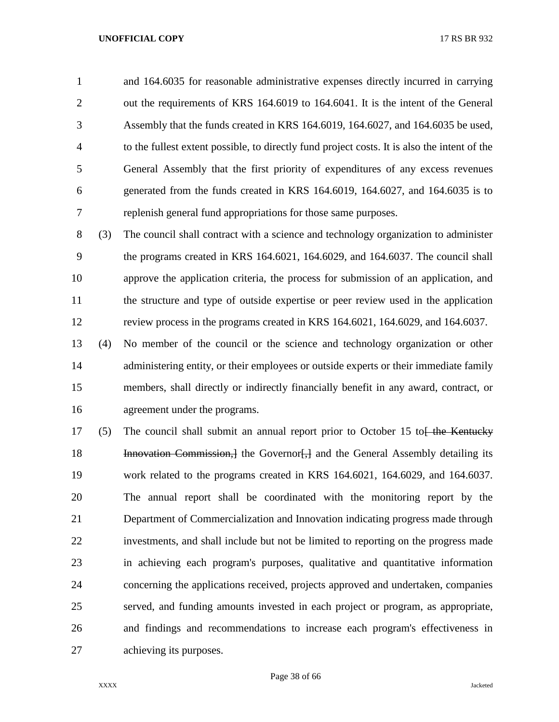and 164.6035 for reasonable administrative expenses directly incurred in carrying out the requirements of KRS 164.6019 to 164.6041. It is the intent of the General Assembly that the funds created in KRS 164.6019, 164.6027, and 164.6035 be used, to the fullest extent possible, to directly fund project costs. It is also the intent of the General Assembly that the first priority of expenditures of any excess revenues generated from the funds created in KRS 164.6019, 164.6027, and 164.6035 is to replenish general fund appropriations for those same purposes.

 (3) The council shall contract with a science and technology organization to administer the programs created in KRS 164.6021, 164.6029, and 164.6037. The council shall approve the application criteria, the process for submission of an application, and the structure and type of outside expertise or peer review used in the application review process in the programs created in KRS 164.6021, 164.6029, and 164.6037.

 (4) No member of the council or the science and technology organization or other 14 administering entity, or their employees or outside experts or their immediate family members, shall directly or indirectly financially benefit in any award, contract, or agreement under the programs.

17 (5) The council shall submit an annual report prior to October 15 to  $\frac{1}{16}$  the Kentucky **Innovation Commission,** I the Governor [, ] and the General Assembly detailing its work related to the programs created in KRS 164.6021, 164.6029, and 164.6037. The annual report shall be coordinated with the monitoring report by the Department of Commercialization and Innovation indicating progress made through investments, and shall include but not be limited to reporting on the progress made in achieving each program's purposes, qualitative and quantitative information concerning the applications received, projects approved and undertaken, companies served, and funding amounts invested in each project or program, as appropriate, and findings and recommendations to increase each program's effectiveness in achieving its purposes.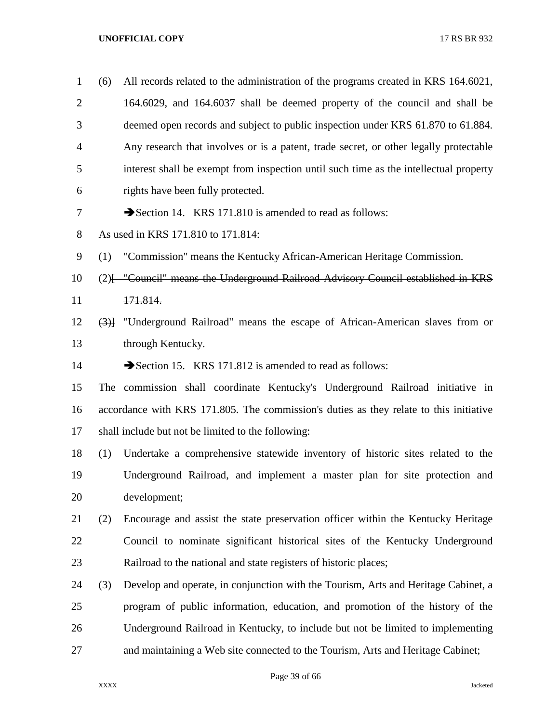| $\mathbf{1}$   | (6) | All records related to the administration of the programs created in KRS 164.6021,     |
|----------------|-----|----------------------------------------------------------------------------------------|
| $\overline{2}$ |     | 164.6029, and 164.6037 shall be deemed property of the council and shall be            |
| 3              |     | deemed open records and subject to public inspection under KRS 61.870 to 61.884.       |
| $\overline{4}$ |     | Any research that involves or is a patent, trade secret, or other legally protectable  |
| 5              |     | interest shall be exempt from inspection until such time as the intellectual property  |
| 6              |     | rights have been fully protected.                                                      |
| 7              |     | Section 14. KRS 171.810 is amended to read as follows:                                 |
| 8              |     | As used in KRS 171.810 to 171.814:                                                     |
| 9              | (1) | "Commission" means the Kentucky African-American Heritage Commission.                  |
| 10             |     | (2) [- "Council" means the Underground Railroad Advisory Council established in KRS    |
| 11             |     | 171.814.                                                                               |
| 12             | (3) | "Underground Railroad" means the escape of African-American slaves from or             |
| 13             |     | through Kentucky.                                                                      |
| 14             |     | Section 15. KRS 171.812 is amended to read as follows:                                 |
| 15             |     | The commission shall coordinate Kentucky's Underground Railroad initiative in          |
| 16             |     | accordance with KRS 171.805. The commission's duties as they relate to this initiative |
| 17             |     | shall include but not be limited to the following:                                     |
| 18             | (1) | Undertake a comprehensive statewide inventory of historic sites related to the         |
| 19             |     | Underground Railroad, and implement a master plan for site protection and              |
| 20             |     | development;                                                                           |
| 21             | (2) | Encourage and assist the state preservation officer within the Kentucky Heritage       |
| 22             |     | Council to nominate significant historical sites of the Kentucky Underground           |
| 23             |     | Railroad to the national and state registers of historic places;                       |
| 24             | (3) | Develop and operate, in conjunction with the Tourism, Arts and Heritage Cabinet, a     |
| 25             |     | program of public information, education, and promotion of the history of the          |
| 26             |     | Underground Railroad in Kentucky, to include but not be limited to implementing        |
| 27             |     | and maintaining a Web site connected to the Tourism, Arts and Heritage Cabinet;        |

Page 39 of 66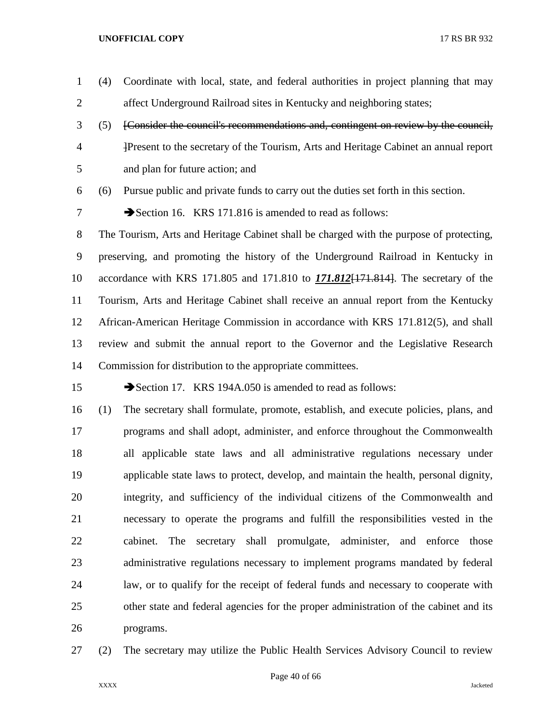- (4) Coordinate with local, state, and federal authorities in project planning that may affect Underground Railroad sites in Kentucky and neighboring states;
- (5) [Consider the council's recommendations and, contingent on review by the council, ]Present to the secretary of the Tourism, Arts and Heritage Cabinet an annual report and plan for future action; and

(6) Pursue public and private funds to carry out the duties set forth in this section.

7 Section 16. KRS 171.816 is amended to read as follows:

 The Tourism, Arts and Heritage Cabinet shall be charged with the purpose of protecting, preserving, and promoting the history of the Underground Railroad in Kentucky in accordance with KRS 171.805 and 171.810 to *171.812*[171.814]. The secretary of the Tourism, Arts and Heritage Cabinet shall receive an annual report from the Kentucky African-American Heritage Commission in accordance with KRS 171.812(5), and shall review and submit the annual report to the Governor and the Legislative Research Commission for distribution to the appropriate committees.

15 Section 17. KRS 194A.050 is amended to read as follows:

 (1) The secretary shall formulate, promote, establish, and execute policies, plans, and programs and shall adopt, administer, and enforce throughout the Commonwealth all applicable state laws and all administrative regulations necessary under applicable state laws to protect, develop, and maintain the health, personal dignity, integrity, and sufficiency of the individual citizens of the Commonwealth and necessary to operate the programs and fulfill the responsibilities vested in the cabinet. The secretary shall promulgate, administer, and enforce those administrative regulations necessary to implement programs mandated by federal law, or to qualify for the receipt of federal funds and necessary to cooperate with other state and federal agencies for the proper administration of the cabinet and its programs.

(2) The secretary may utilize the Public Health Services Advisory Council to review

Page 40 of 66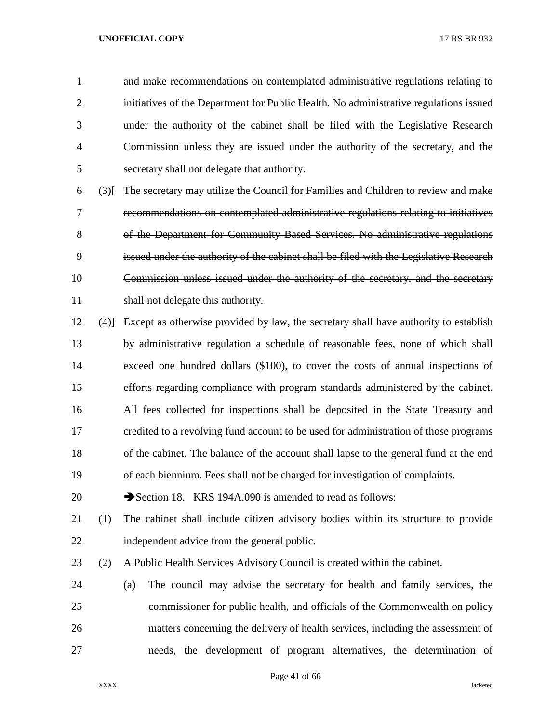and make recommendations on contemplated administrative regulations relating to initiatives of the Department for Public Health. No administrative regulations issued under the authority of the cabinet shall be filed with the Legislative Research Commission unless they are issued under the authority of the secretary, and the secretary shall not delegate that authority.

 (3)[ The secretary may utilize the Council for Families and Children to review and make recommendations on contemplated administrative regulations relating to initiatives of the Department for Community Based Services. No administrative regulations issued under the authority of the cabinet shall be filed with the Legislative Research Commission unless issued under the authority of the secretary, and the secretary 11 shall not delegate this authority.

 (4)] Except as otherwise provided by law, the secretary shall have authority to establish by administrative regulation a schedule of reasonable fees, none of which shall exceed one hundred dollars (\$100), to cover the costs of annual inspections of efforts regarding compliance with program standards administered by the cabinet. All fees collected for inspections shall be deposited in the State Treasury and credited to a revolving fund account to be used for administration of those programs of the cabinet. The balance of the account shall lapse to the general fund at the end of each biennium. Fees shall not be charged for investigation of complaints.

20 Section 18. KRS 194A.090 is amended to read as follows:

- (1) The cabinet shall include citizen advisory bodies within its structure to provide independent advice from the general public.
- (2) A Public Health Services Advisory Council is created within the cabinet.
- (a) The council may advise the secretary for health and family services, the commissioner for public health, and officials of the Commonwealth on policy matters concerning the delivery of health services, including the assessment of needs, the development of program alternatives, the determination of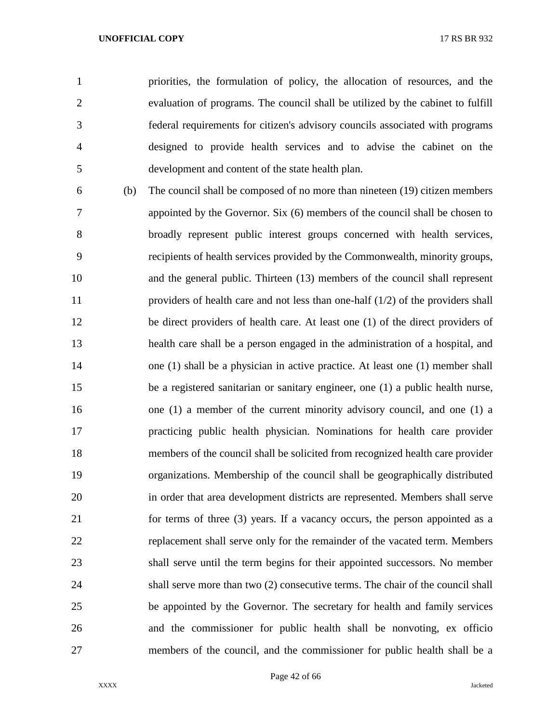priorities, the formulation of policy, the allocation of resources, and the evaluation of programs. The council shall be utilized by the cabinet to fulfill federal requirements for citizen's advisory councils associated with programs designed to provide health services and to advise the cabinet on the development and content of the state health plan.

 (b) The council shall be composed of no more than nineteen (19) citizen members appointed by the Governor. Six (6) members of the council shall be chosen to broadly represent public interest groups concerned with health services, recipients of health services provided by the Commonwealth, minority groups, and the general public. Thirteen (13) members of the council shall represent providers of health care and not less than one-half (1/2) of the providers shall be direct providers of health care. At least one (1) of the direct providers of health care shall be a person engaged in the administration of a hospital, and one (1) shall be a physician in active practice. At least one (1) member shall be a registered sanitarian or sanitary engineer, one (1) a public health nurse, one (1) a member of the current minority advisory council, and one (1) a practicing public health physician. Nominations for health care provider members of the council shall be solicited from recognized health care provider organizations. Membership of the council shall be geographically distributed in order that area development districts are represented. Members shall serve for terms of three (3) years. If a vacancy occurs, the person appointed as a replacement shall serve only for the remainder of the vacated term. Members shall serve until the term begins for their appointed successors. No member shall serve more than two (2) consecutive terms. The chair of the council shall be appointed by the Governor. The secretary for health and family services and the commissioner for public health shall be nonvoting, ex officio members of the council, and the commissioner for public health shall be a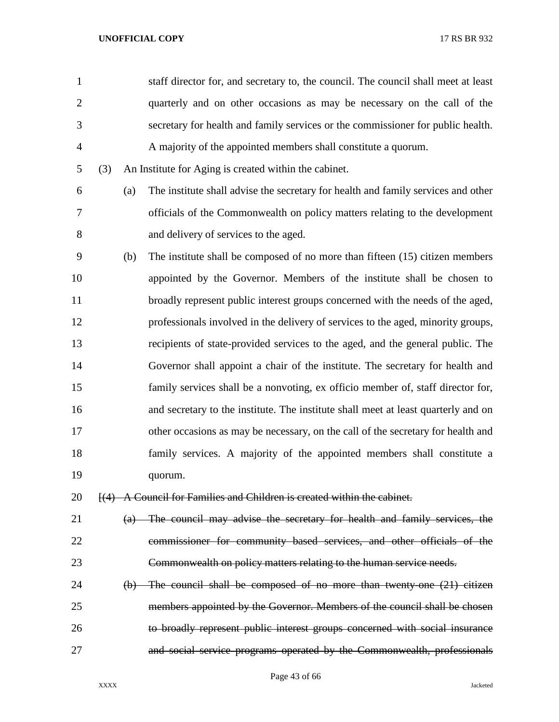| $\mathbf{1}$   |     |     | staff director for, and secretary to, the council. The council shall meet at least |
|----------------|-----|-----|------------------------------------------------------------------------------------|
| $\overline{2}$ |     |     | quarterly and on other occasions as may be necessary on the call of the            |
| 3              |     |     | secretary for health and family services or the commissioner for public health.    |
| $\overline{4}$ |     |     | A majority of the appointed members shall constitute a quorum.                     |
| 5              | (3) |     | An Institute for Aging is created within the cabinet.                              |
| 6              |     | (a) | The institute shall advise the secretary for health and family services and other  |
| 7              |     |     | officials of the Commonwealth on policy matters relating to the development        |
| 8              |     |     | and delivery of services to the aged.                                              |
| 9              |     | (b) | The institute shall be composed of no more than fifteen (15) citizen members       |
| 10             |     |     | appointed by the Governor. Members of the institute shall be chosen to             |
| 11             |     |     | broadly represent public interest groups concerned with the needs of the aged,     |
| 12             |     |     | professionals involved in the delivery of services to the aged, minority groups,   |
| 13             |     |     | recipients of state-provided services to the aged, and the general public. The     |
| 14             |     |     | Governor shall appoint a chair of the institute. The secretary for health and      |
| 15             |     |     | family services shall be a nonvoting, ex officio member of, staff director for,    |
| 16             |     |     | and secretary to the institute. The institute shall meet at least quarterly and on |
| 17             |     |     | other occasions as may be necessary, on the call of the secretary for health and   |
| 18             |     |     | family services. A majority of the appointed members shall constitute a            |
| 19             |     |     | quorum.                                                                            |
| 20             |     |     | [(4) A Council for Families and Children is created within the cabinet.            |
| 21             |     | (a) | The council may advise the secretary for health and family services, the           |
| 22             |     |     | commissioner for community based services, and other officials of the              |
| 23             |     |     | Commonwealth on policy matters relating to the human service needs.                |
| 24             |     |     | (b) The council shall be composed of no more than twenty-one (21) citizen          |
| 25             |     |     | members appointed by the Governor. Members of the council shall be chosen          |
| 26             |     |     | to broadly represent public interest groups concerned with social insurance        |
| 27             |     |     | and social service programs operated by the Commonwealth, professionals            |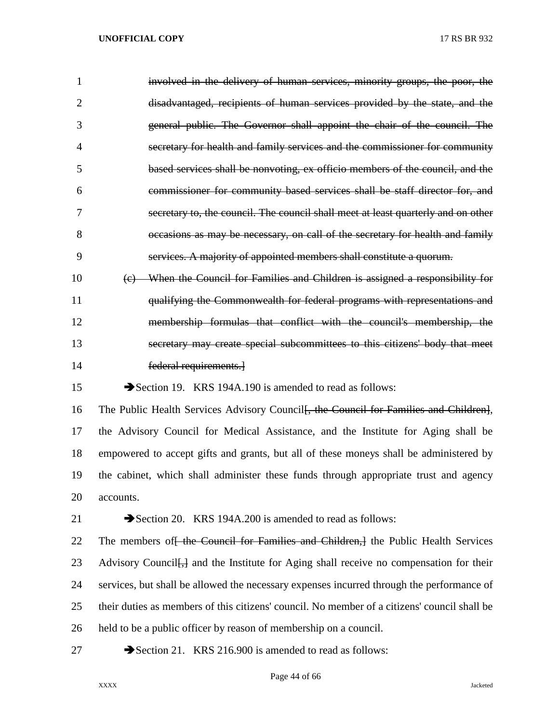| 1  | involved in the delivery of human services, minority groups, the poor, the                          |
|----|-----------------------------------------------------------------------------------------------------|
| 2  | disadvantaged, recipients of human services provided by the state, and the                          |
| 3  | general public. The Governor shall appoint the chair of the council. The                            |
| 4  | secretary for health and family services and the commissioner for community                         |
| 5  | based services shall be nonvoting, ex officio members of the council, and the                       |
| 6  | commissioner for community based services shall be staff director for, and                          |
| 7  | secretary to, the council. The council shall meet at least quarterly and on other                   |
| 8  | occasions as may be necessary, on call of the secretary for health and family                       |
| 9  | services. A majority of appointed members shall constitute a quorum.                                |
| 10 | (c) When the Council for Families and Children is assigned a responsibility for                     |
| 11 | qualifying the Commonwealth for federal programs with representations and                           |
| 12 | membership formulas that conflict with the council's membership, the                                |
| 13 | secretary may create special subcommittees to this citizens' body that meet                         |
| 14 | federal requirements.                                                                               |
| 15 | Section 19. KRS 194A.190 is amended to read as follows:                                             |
| 16 | The Public Health Services Advisory Council <del>, the Council for Families and Children]</del> ,   |
| 17 | the Advisory Council for Medical Assistance, and the Institute for Aging shall be                   |
| 18 | empowered to accept gifts and grants, but all of these moneys shall be administered by              |
| 19 | the cabinet, which shall administer these funds through appropriate trust and agency                |
| 20 | accounts.                                                                                           |
| 21 | Section 20. KRS 194A.200 is amended to read as follows:                                             |
| 22 | The members of the Council for Families and Children, the Public Health Services                    |
| 23 | Advisory Council <del>[,]</del> and the Institute for Aging shall receive no compensation for their |
| 24 | services, but shall be allowed the necessary expenses incurred through the performance of           |
| 25 | their duties as members of this citizens' council. No member of a citizens' council shall be        |
| 26 | held to be a public officer by reason of membership on a council.                                   |
| 27 | Section 21. KRS 216.900 is amended to read as follows:                                              |

Page 44 of 66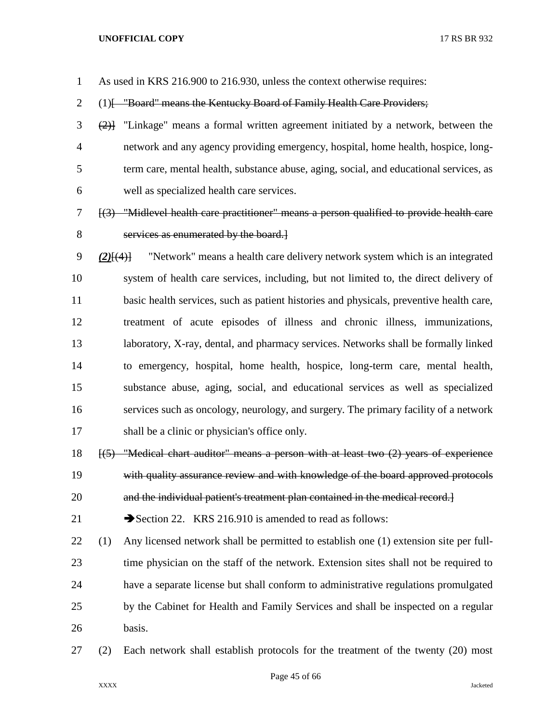As used in KRS 216.900 to 216.930, unless the context otherwise requires:

2 (1) [ "Board" means the Kentucky Board of Family Health Care Providers;

- (2)] "Linkage" means a formal written agreement initiated by a network, between the network and any agency providing emergency, hospital, home health, hospice, long- term care, mental health, substance abuse, aging, social, and educational services, as well as specialized health care services.
- [(3) "Midlevel health care practitioner" means a person qualified to provide health care services as enumerated by the board.]
- *(2)*[(4)] "Network" means a health care delivery network system which is an integrated system of health care services, including, but not limited to, the direct delivery of basic health services, such as patient histories and physicals, preventive health care, treatment of acute episodes of illness and chronic illness, immunizations, laboratory, X-ray, dental, and pharmacy services. Networks shall be formally linked to emergency, hospital, home health, hospice, long-term care, mental health, substance abuse, aging, social, and educational services as well as specialized services such as oncology, neurology, and surgery. The primary facility of a network shall be a clinic or physician's office only.
- [(5) "Medical chart auditor" means a person with at least two (2) years of experience with quality assurance review and with knowledge of the board approved protocols and the individual patient's treatment plan contained in the medical record.]
- 

21 Section 22. KRS 216.910 is amended to read as follows:

- (1) Any licensed network shall be permitted to establish one (1) extension site per full- time physician on the staff of the network. Extension sites shall not be required to have a separate license but shall conform to administrative regulations promulgated by the Cabinet for Health and Family Services and shall be inspected on a regular basis.
- (2) Each network shall establish protocols for the treatment of the twenty (20) most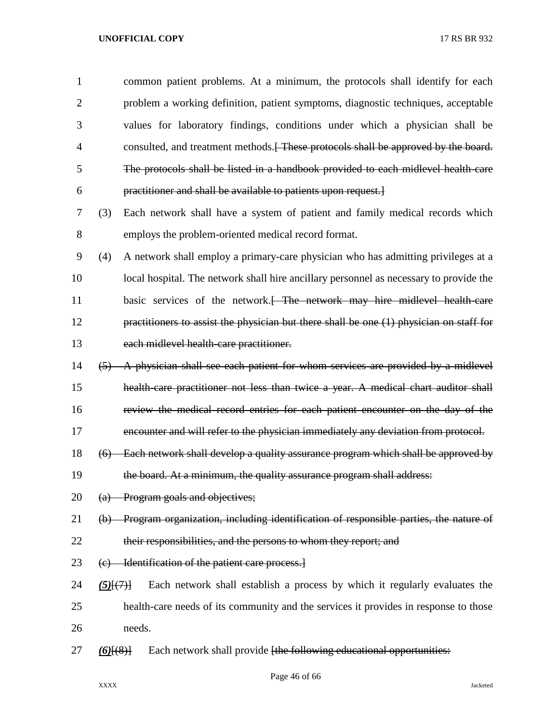| 1              |             | common patient problems. At a minimum, the protocols shall identify for each              |
|----------------|-------------|-------------------------------------------------------------------------------------------|
| $\overline{2}$ |             | problem a working definition, patient symptoms, diagnostic techniques, acceptable         |
| 3              |             | values for laboratory findings, conditions under which a physician shall be               |
| $\overline{4}$ |             | consulted, and treatment methods. These protocols shall be approved by the board.         |
| 5              |             | The protocols shall be listed in a handbook provided to each midlevel health care         |
| 6              |             | practitioner and shall be available to patients upon request.                             |
| 7              | (3)         | Each network shall have a system of patient and family medical records which              |
| 8              |             | employs the problem-oriented medical record format.                                       |
| 9              | (4)         | A network shall employ a primary-care physician who has admitting privileges at a         |
| 10             |             | local hospital. The network shall hire ancillary personnel as necessary to provide the    |
| 11             |             | basic services of the network. <del> The network may hire midlevel health care</del>      |
| 12             |             | practitioners to assist the physician but there shall be one $(1)$ physician on staff for |
| 13             |             | each midlevel health care practitioner.                                                   |
| 14             |             | (5) A physician shall see each patient for whom services are provided by a midlevel       |
| 15             |             | health care practitioner not less than twice a year. A medical chart auditor shall        |
| 16             |             | review the medical record entries for each patient encounter on the day of the            |
| 17             |             | encounter and will refer to the physician immediately any deviation from protocol.        |
| 18             | (6)         | Each network shall develop a quality assurance program which shall be approved by         |
| 19             |             | the board. At a minimum, the quality assurance program shall address:                     |
| 20             |             | (a) Program goals and objectives;                                                         |
| 21             |             | (b) Program organization, including identification of responsible parties, the nature of  |
| 22             |             | their responsibilities, and the persons to whom they report; and                          |
| 23             |             | (c) Identification of the patient care process.                                           |
| 24             | $(5)$ $(7)$ | Each network shall establish a process by which it regularly evaluates the                |
| 25             |             | health-care needs of its community and the services it provides in response to those      |
| 26             | needs.      |                                                                                           |
| 27             | $(6)$ $(8)$ | Each network shall provide [the following educational opportunities:                      |
|                |             |                                                                                           |

Page 46 of 66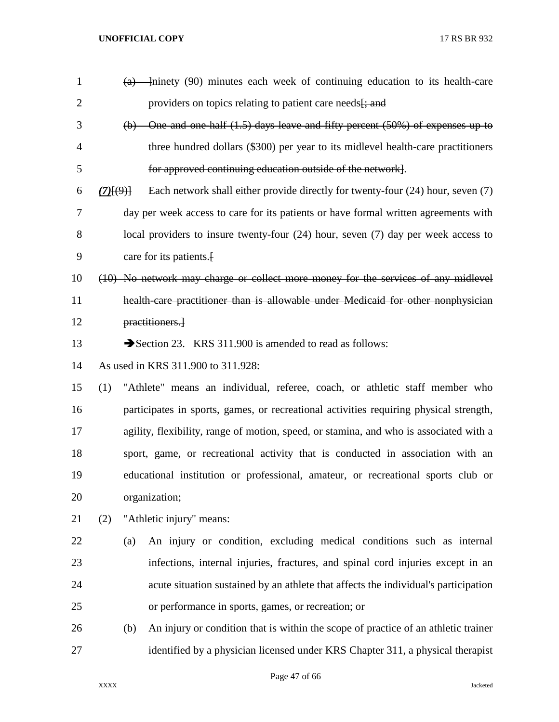| $\mathbf{1}$   | $\left( a\right)$ | minety (90) minutes each week of continuing education to its health-care               |
|----------------|-------------------|----------------------------------------------------------------------------------------|
| $\overline{2}$ |                   | providers on topics relating to patient care needs <del>[; and</del>                   |
| 3              |                   | (b) One and one half (1.5) days leave and fifty percent (50%) of expenses up to        |
| 4              |                   | three hundred dollars (\$300) per year to its midlevel health care practitioners       |
| 5              |                   | for approved continuing education outside of the network.                              |
| 6              | $(7)$ $(9)$ }     | Each network shall either provide directly for twenty-four (24) hour, seven (7)        |
| 7              |                   | day per week access to care for its patients or have formal written agreements with    |
| 8              |                   | local providers to insure twenty-four $(24)$ hour, seven $(7)$ day per week access to  |
| 9              |                   | care for its patients.                                                                 |
| 10             |                   | (10) No network may charge or collect more money for the services of any midlevel      |
| 11             |                   | health care practitioner than is allowable under Medicaid for other nonphysician       |
| 12             |                   | practitioners.                                                                         |
| 13             |                   | Section 23. KRS 311.900 is amended to read as follows:                                 |
| 14             |                   | As used in KRS 311.900 to 311.928:                                                     |
| 15             | (1)               | "Athlete" means an individual, referee, coach, or athletic staff member who            |
| 16             |                   | participates in sports, games, or recreational activities requiring physical strength, |
| 17             |                   | agility, flexibility, range of motion, speed, or stamina, and who is associated with a |
| 18             |                   | sport, game, or recreational activity that is conducted in association with an         |
| 19             |                   | educational institution or professional, amateur, or recreational sports club or       |
| 20             |                   | organization;                                                                          |
| 21             | (2)               | "Athletic injury" means:                                                               |
| 22             | (a)               | An injury or condition, excluding medical conditions such as internal                  |
| 23             |                   | infections, internal injuries, fractures, and spinal cord injuries except in an        |
| 24             |                   | acute situation sustained by an athlete that affects the individual's participation    |
| 25             |                   | or performance in sports, games, or recreation; or                                     |
| 26             | (b)               | An injury or condition that is within the scope of practice of an athletic trainer     |
| 27             |                   | identified by a physician licensed under KRS Chapter 311, a physical therapist         |

Page 47 of 66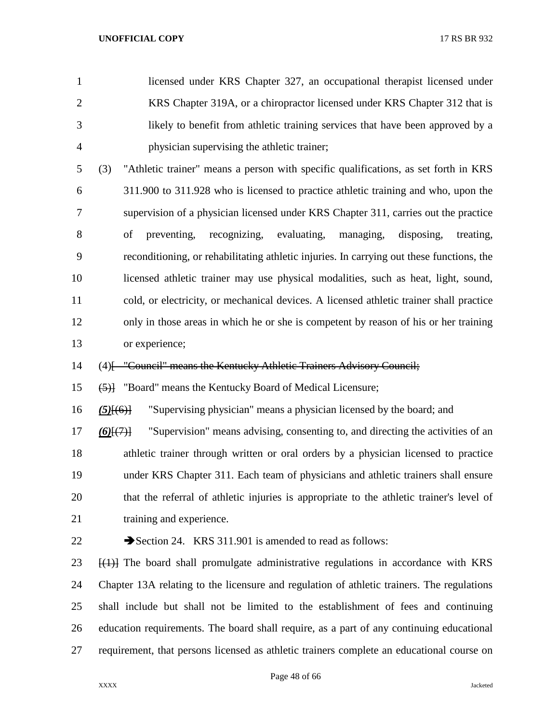| $\mathbf{1}$   | licensed under KRS Chapter 327, an occupational therapist licensed under                                |
|----------------|---------------------------------------------------------------------------------------------------------|
| $\overline{2}$ | KRS Chapter 319A, or a chiropractor licensed under KRS Chapter 312 that is                              |
| 3              | likely to benefit from athletic training services that have been approved by a                          |
| $\overline{4}$ | physician supervising the athletic trainer;                                                             |
| 5              | "Athletic trainer" means a person with specific qualifications, as set forth in KRS<br>(3)              |
| 6              | 311.900 to 311.928 who is licensed to practice athletic training and who, upon the                      |
| 7              | supervision of a physician licensed under KRS Chapter 311, carries out the practice                     |
| 8              | preventing,<br>recognizing, evaluating, managing,<br>of<br>disposing,<br>treating,                      |
| 9              | reconditioning, or rehabilitating athletic injuries. In carrying out these functions, the               |
| 10             | licensed athletic trainer may use physical modalities, such as heat, light, sound,                      |
| 11             | cold, or electricity, or mechanical devices. A licensed athletic trainer shall practice                 |
| 12             | only in those areas in which he or she is competent by reason of his or her training                    |
| 13             | or experience;                                                                                          |
| 14             | (4) [- "Council" means the Kentucky Athletic Trainers Advisory Council;                                 |
| 15             | (5) The "Board" means the Kentucky Board of Medical Licensure;                                          |
| 16             | "Supervising physician" means a physician licensed by the board; and<br>$(5)$ [ $(6)$ ]                 |
| 17             | "Supervision" means advising, consenting to, and directing the activities of an<br>$(6)$ [ $(7)$ ]      |
| 18             | athletic trainer through written or oral orders by a physician licensed to practice                     |
| 19             | under KRS Chapter 311. Each team of physicians and athletic trainers shall ensure                       |
| 20             | that the referral of athletic injuries is appropriate to the athletic trainer's level of                |
| 21             | training and experience.                                                                                |
| 22             | Section 24. KRS 311.901 is amended to read as follows:                                                  |
| 23             | $\left[\frac{1}{2}\right]$ The board shall promulgate administrative regulations in accordance with KRS |
| 24             | Chapter 13A relating to the licensure and regulation of athletic trainers. The regulations              |
| 25             | shall include but shall not be limited to the establishment of fees and continuing                      |
| 26             | education requirements. The board shall require, as a part of any continuing educational                |

requirement, that persons licensed as athletic trainers complete an educational course on

Page 48 of 66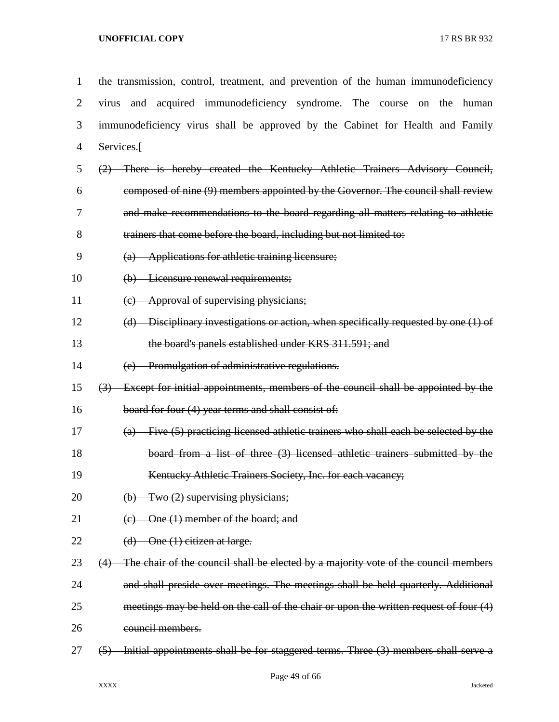| $\mathbf{1}$   | the transmission, control, treatment, and prevention of the human immunodeficiency                     |
|----------------|--------------------------------------------------------------------------------------------------------|
| $\overline{2}$ | and acquired immunodeficiency syndrome. The course on the human<br>virus                               |
| 3              | immunodeficiency virus shall be approved by the Cabinet for Health and Family                          |
| $\overline{4}$ | Services. <sup>[1]</sup>                                                                               |
| 5              | (2) There is hereby created the Kentucky Athletic Trainers Advisory Council,                           |
| 6              | composed of nine (9) members appointed by the Governor. The council shall review                       |
| 7              | and make recommendations to the board regarding all matters relating to athletic                       |
| 8              | trainers that come before the board, including but not limited to:                                     |
| 9              | (a) Applications for athletic training licensure;                                                      |
| 10             | (b) Licensure renewal requirements;                                                                    |
| 11             | (c) Approval of supervising physicians;                                                                |
| 12             | $(d)$ Disciplinary investigations or action, when specifically requested by one $(1)$ of               |
| 13             | the board's panels established under KRS 311.591; and                                                  |
| 14             | (e) Promulgation of administrative regulations.                                                        |
| 15             | (3) Except for initial appointments, members of the council shall be appointed by the                  |
| 16             | board for four (4) year terms and shall consist of:                                                    |
| 17             | $(a)$ Five (5) practicing licensed athletic trainers who shall each be selected by the                 |
| 18             | board from a list of three $(3)$ licensed athletic trainers submitted by the                           |
| 19             | Kentucky Athletic Trainers Society, Inc. for each vacancy;                                             |
| 20             | Two (2) supervising physicians;<br>$\Theta$                                                            |
| 21             | One (1) member of the board; and<br>$\left(\mathrm{e}\right)$                                          |
| 22             | $(d)$ One $(1)$ citizen at large.                                                                      |
| 23             | $(4)$ The chair of the council shall be elected by a majority vote of the council members              |
| 24             | and shall preside over meetings. The meetings shall be held quarterly. Additional                      |
| 25             | meetings may be held on the call of the chair or upon the written request of four (4)                  |
| 26             | council members.                                                                                       |
| 27             | Initial appointments shall be for staggered terms. Three (3) members shall serve a<br>$\left(5\right)$ |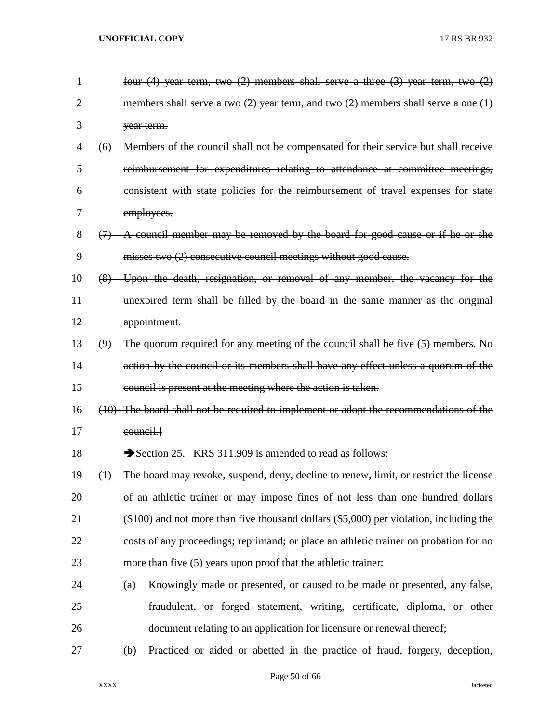| $\mathbf{1}$   |     | four $(4)$ year term, two $(2)$ members shall serve a three $(3)$ year term, two $(2)$     |
|----------------|-----|--------------------------------------------------------------------------------------------|
| $\overline{2}$ |     | members shall serve a two $(2)$ year term, and two $(2)$ members shall serve a one $(1)$   |
| 3              |     | year term.                                                                                 |
| 4              | (6) | Members of the council shall not be compensated for their service but shall receive        |
| 5              |     | reimbursement for expenditures relating to attendance at committee meetings,               |
| 6              |     | consistent with state policies for the reimbursement of travel expenses for state          |
| 7              |     | employees.                                                                                 |
| 8              | (7) | A council member may be removed by the board for good cause or if he or she                |
| 9              |     | misses two (2) consecutive council meetings without good cause.                            |
| 10             |     | (8) Upon the death, resignation, or removal of any member, the vacancy for the             |
| 11             |     | unexpired term shall be filled by the board in the same manner as the original             |
| 12             |     | appointment.                                                                               |
| 13             |     | $(9)$ The quorum required for any meeting of the council shall be five $(5)$ members. No   |
| 14             |     | action by the council or its members shall have any effect unless a quorum of the          |
| 15             |     | council is present at the meeting where the action is taken.                               |
| 16             |     | (10) The board shall not be required to implement or adopt the recommendations of the      |
| 17             |     | eouncil.                                                                                   |
| 18             |     | Section 25. KRS 311.909 is amended to read as follows:                                     |
| 19             | (1) | The board may revoke, suspend, deny, decline to renew, limit, or restrict the license      |
| 20             |     | of an athletic trainer or may impose fines of not less than one hundred dollars            |
| 21             |     | $(\$100)$ and not more than five thousand dollars $(\$5,000)$ per violation, including the |
| 22             |     | costs of any proceedings; reprimand; or place an athletic trainer on probation for no      |
| 23             |     | more than five (5) years upon proof that the athletic trainer:                             |
| 24             |     | Knowingly made or presented, or caused to be made or presented, any false,<br>(a)          |
| 25             |     | fraudulent, or forged statement, writing, certificate, diploma, or other                   |
| 26             |     | document relating to an application for licensure or renewal thereof;                      |
| 27             |     | Practiced or aided or abetted in the practice of fraud, forgery, deception,<br>(b)         |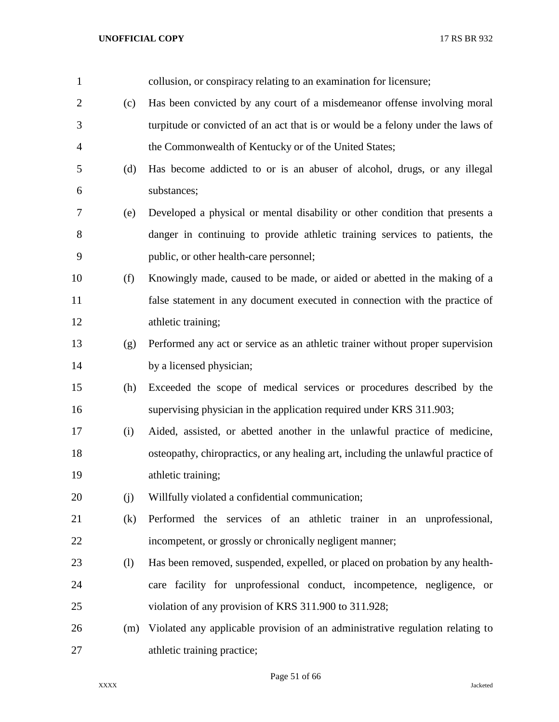| $\mathbf{1}$   |     | collusion, or conspiracy relating to an examination for licensure;                |
|----------------|-----|-----------------------------------------------------------------------------------|
| $\overline{2}$ | (c) | Has been convicted by any court of a misdemeanor offense involving moral          |
| 3              |     | turpitude or convicted of an act that is or would be a felony under the laws of   |
| $\overline{4}$ |     | the Commonwealth of Kentucky or of the United States;                             |
| 5              | (d) | Has become addicted to or is an abuser of alcohol, drugs, or any illegal          |
| 6              |     | substances;                                                                       |
| 7              | (e) | Developed a physical or mental disability or other condition that presents a      |
| 8              |     | danger in continuing to provide athletic training services to patients, the       |
| 9              |     | public, or other health-care personnel;                                           |
| 10             | (f) | Knowingly made, caused to be made, or aided or abetted in the making of a         |
| 11             |     | false statement in any document executed in connection with the practice of       |
| 12             |     | athletic training;                                                                |
| 13             | (g) | Performed any act or service as an athletic trainer without proper supervision    |
| 14             |     | by a licensed physician;                                                          |
| 15             | (h) | Exceeded the scope of medical services or procedures described by the             |
| 16             |     | supervising physician in the application required under KRS 311.903;              |
| 17             | (i) | Aided, assisted, or abetted another in the unlawful practice of medicine,         |
| 18             |     | osteopathy, chiropractics, or any healing art, including the unlawful practice of |
| 19             |     | athletic training;                                                                |
| 20             | (j) | Willfully violated a confidential communication;                                  |
| 21             | (k) | Performed the services of an athletic trainer in an unprofessional,               |
| 22             |     | incompetent, or grossly or chronically negligent manner;                          |
| 23             | (1) | Has been removed, suspended, expelled, or placed on probation by any health-      |
| 24             |     | care facility for unprofessional conduct, incompetence, negligence, or            |
| 25             |     | violation of any provision of KRS 311.900 to 311.928;                             |
| 26             | (m) | Violated any applicable provision of an administrative regulation relating to     |
| 27             |     | athletic training practice;                                                       |

Page 51 of 66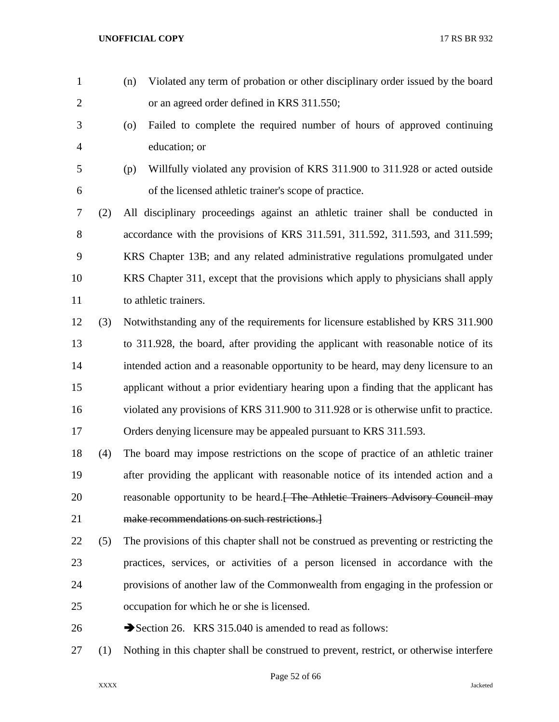or an agreed order defined in KRS 311.550; (o) Failed to complete the required number of hours of approved continuing education; or (p) Willfully violated any provision of KRS 311.900 to 311.928 or acted outside of the licensed athletic trainer's scope of practice. (2) All disciplinary proceedings against an athletic trainer shall be conducted in accordance with the provisions of KRS 311.591, 311.592, 311.593, and 311.599; KRS Chapter 13B; and any related administrative regulations promulgated under KRS Chapter 311, except that the provisions which apply to physicians shall apply 11 to athletic trainers. (3) Notwithstanding any of the requirements for licensure established by KRS 311.900 to 311.928, the board, after providing the applicant with reasonable notice of its intended action and a reasonable opportunity to be heard, may deny licensure to an applicant without a prior evidentiary hearing upon a finding that the applicant has violated any provisions of KRS 311.900 to 311.928 or is otherwise unfit to practice. Orders denying licensure may be appealed pursuant to KRS 311.593. (4) The board may impose restrictions on the scope of practice of an athletic trainer after providing the applicant with reasonable notice of its intended action and a 20 reasonable opportunity to be heard.<del>[ The Athletic Trainers Advisory Council may</del> make recommendations on such restrictions.] (5) The provisions of this chapter shall not be construed as preventing or restricting the practices, services, or activities of a person licensed in accordance with the provisions of another law of the Commonwealth from engaging in the profession or occupation for which he or she is licensed. 26 Section 26. KRS 315.040 is amended to read as follows: (1) Nothing in this chapter shall be construed to prevent, restrict, or otherwise interfere

(n) Violated any term of probation or other disciplinary order issued by the board

Page 52 of 66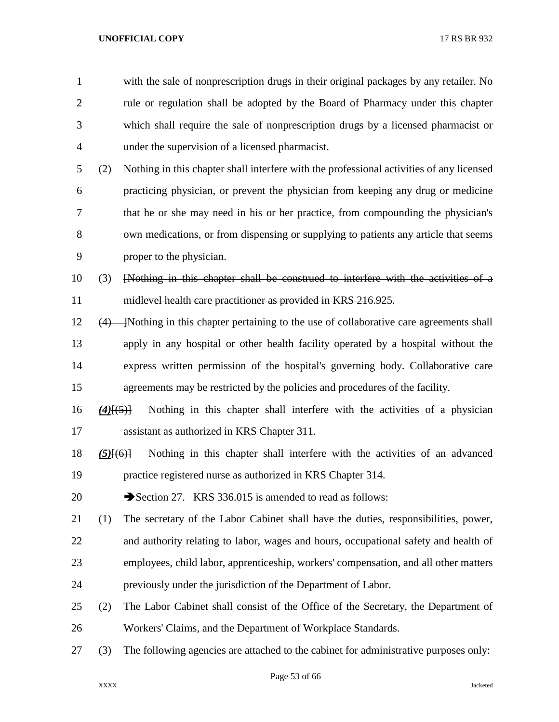with the sale of nonprescription drugs in their original packages by any retailer. No rule or regulation shall be adopted by the Board of Pharmacy under this chapter which shall require the sale of nonprescription drugs by a licensed pharmacist or under the supervision of a licensed pharmacist.

 (2) Nothing in this chapter shall interfere with the professional activities of any licensed practicing physician, or prevent the physician from keeping any drug or medicine that he or she may need in his or her practice, from compounding the physician's own medications, or from dispensing or supplying to patients any article that seems proper to the physician.

 (3) [Nothing in this chapter shall be construed to interfere with the activities of a midlevel health care practitioner as provided in KRS 216.925.

12 (4) Nothing in this chapter pertaining to the use of collaborative care agreements shall apply in any hospital or other health facility operated by a hospital without the express written permission of the hospital's governing body. Collaborative care agreements may be restricted by the policies and procedures of the facility.

 *(4)*[(5)] Nothing in this chapter shall interfere with the activities of a physician assistant as authorized in KRS Chapter 311.

 *(5)*[(6)] Nothing in this chapter shall interfere with the activities of an advanced practice registered nurse as authorized in KRS Chapter 314.

20 Section 27. KRS 336.015 is amended to read as follows:

- (1) The secretary of the Labor Cabinet shall have the duties, responsibilities, power, and authority relating to labor, wages and hours, occupational safety and health of employees, child labor, apprenticeship, workers' compensation, and all other matters previously under the jurisdiction of the Department of Labor.
- (2) The Labor Cabinet shall consist of the Office of the Secretary, the Department of Workers' Claims, and the Department of Workplace Standards.
- (3) The following agencies are attached to the cabinet for administrative purposes only: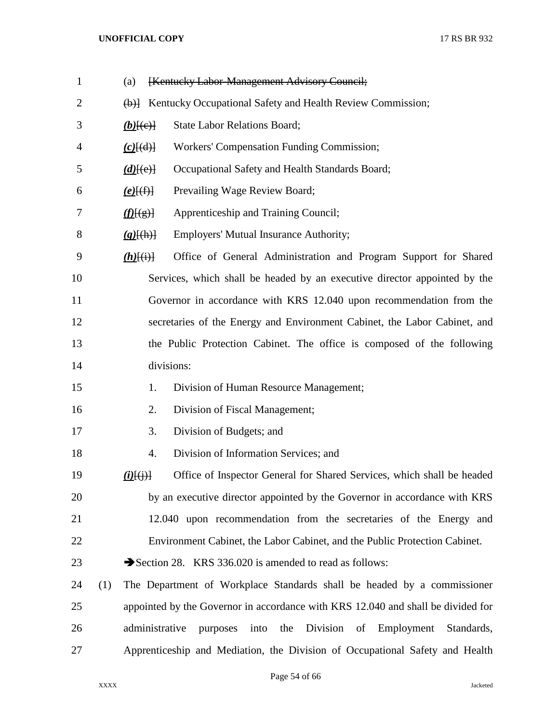| $\mathbf{1}$ | (a)                               | [Kentucky Labor-Management Advisory Council;                                     |
|--------------|-----------------------------------|----------------------------------------------------------------------------------|
| 2            |                                   | (b)] Kentucky Occupational Safety and Health Review Commission;                  |
| 3            | $(b)$ [(e)]                       | <b>State Labor Relations Board;</b>                                              |
| 4            | $(c)$ [(d)]                       | Workers' Compensation Funding Commission;                                        |
| 5            | $(d)$ [(e)]                       | Occupational Safety and Health Standards Board;                                  |
| 6            | $(e)$ $(f)$                       | Prevailing Wage Review Board;                                                    |
| 7            | f(E(g))                           | Apprenticeship and Training Council;                                             |
| 8            | $(g)$ [(h)]                       | <b>Employers' Mutual Insurance Authority;</b>                                    |
| 9            | $(h)$ $(i)$                       | Office of General Administration and Program Support for Shared                  |
| 10           |                                   | Services, which shall be headed by an executive director appointed by the        |
| 11           |                                   | Governor in accordance with KRS 12.040 upon recommendation from the              |
| 12           |                                   | secretaries of the Energy and Environment Cabinet, the Labor Cabinet, and        |
| 13           |                                   | the Public Protection Cabinet. The office is composed of the following           |
| 14           |                                   | divisions:                                                                       |
| 15           | 1.                                | Division of Human Resource Management;                                           |
| 16           | 2.                                | Division of Fiscal Management;                                                   |
| 17           | 3.                                | Division of Budgets; and                                                         |
| 18           | 4.                                | Division of Information Services; and                                            |
| 19           | $\underline{(i)}\overline{\{j\}}$ | Office of Inspector General for Shared Services, which shall be headed           |
| 20           |                                   | by an executive director appointed by the Governor in accordance with KRS        |
| 21           |                                   | 12.040 upon recommendation from the secretaries of the Energy and                |
| 22           |                                   | Environment Cabinet, the Labor Cabinet, and the Public Protection Cabinet.       |
| 23           |                                   | Section 28. KRS 336.020 is amended to read as follows:                           |
| 24           | (1)                               | The Department of Workplace Standards shall be headed by a commissioner          |
| 25           |                                   | appointed by the Governor in accordance with KRS 12.040 and shall be divided for |
| 26           | administrative                    | into the Division of Employment<br>purposes<br>Standards,                        |
| 27           |                                   | Apprenticeship and Mediation, the Division of Occupational Safety and Health     |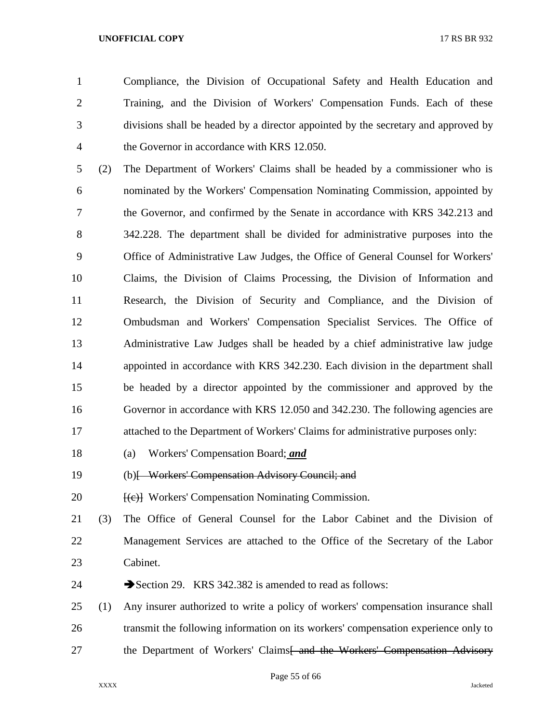Compliance, the Division of Occupational Safety and Health Education and Training, and the Division of Workers' Compensation Funds. Each of these divisions shall be headed by a director appointed by the secretary and approved by the Governor in accordance with KRS 12.050.

 (2) The Department of Workers' Claims shall be headed by a commissioner who is nominated by the Workers' Compensation Nominating Commission, appointed by the Governor, and confirmed by the Senate in accordance with KRS 342.213 and 342.228. The department shall be divided for administrative purposes into the Office of Administrative Law Judges, the Office of General Counsel for Workers' Claims, the Division of Claims Processing, the Division of Information and Research, the Division of Security and Compliance, and the Division of Ombudsman and Workers' Compensation Specialist Services. The Office of Administrative Law Judges shall be headed by a chief administrative law judge appointed in accordance with KRS 342.230. Each division in the department shall be headed by a director appointed by the commissioner and approved by the Governor in accordance with KRS 12.050 and 342.230. The following agencies are attached to the Department of Workers' Claims for administrative purposes only:

- (a) Workers' Compensation Board; *and*
- (b)[ Workers' Compensation Advisory Council; and
- 20 [(e)] Workers' Compensation Nominating Commission.
- (3) The Office of General Counsel for the Labor Cabinet and the Division of Management Services are attached to the Office of the Secretary of the Labor Cabinet.
- 24 Section 29. KRS 342.382 is amended to read as follows:
- (1) Any insurer authorized to write a policy of workers' compensation insurance shall transmit the following information on its workers' compensation experience only to 27 the Department of Workers' Claims<del>[ and the Workers' Compensation Advisory</del>

Page 55 of 66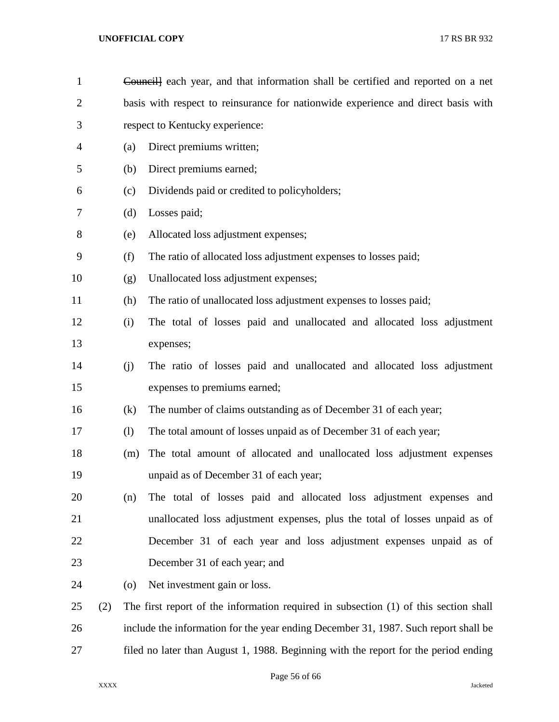| $\mathbf{1}$   |     |                            | Councill each year, and that information shall be certified and reported on a net    |  |  |
|----------------|-----|----------------------------|--------------------------------------------------------------------------------------|--|--|
| $\overline{2}$ |     |                            | basis with respect to reinsurance for nationwide experience and direct basis with    |  |  |
| 3              |     |                            | respect to Kentucky experience:                                                      |  |  |
| 4              |     | (a)                        | Direct premiums written;                                                             |  |  |
| 5              |     | (b)                        | Direct premiums earned;                                                              |  |  |
| 6              |     | (c)                        | Dividends paid or credited to policyholders;                                         |  |  |
| 7              |     | (d)                        | Losses paid;                                                                         |  |  |
| 8              |     | (e)                        | Allocated loss adjustment expenses;                                                  |  |  |
| 9              |     | (f)                        | The ratio of allocated loss adjustment expenses to losses paid;                      |  |  |
| 10             |     | (g)                        | Unallocated loss adjustment expenses;                                                |  |  |
| 11             |     | (h)                        | The ratio of unallocated loss adjustment expenses to losses paid;                    |  |  |
| 12             |     | (i)                        | The total of losses paid and unallocated and allocated loss adjustment               |  |  |
| 13             |     |                            | expenses;                                                                            |  |  |
| 14             |     | (j)                        | The ratio of losses paid and unallocated and allocated loss adjustment               |  |  |
| 15             |     |                            | expenses to premiums earned;                                                         |  |  |
| 16             |     | (k)                        | The number of claims outstanding as of December 31 of each year;                     |  |  |
| 17             |     | $\left( \mathbf{l}\right)$ | The total amount of losses unpaid as of December 31 of each year;                    |  |  |
| 18             |     | (m)                        | The total amount of allocated and unallocated loss adjustment expenses               |  |  |
| 19             |     |                            | unpaid as of December 31 of each year;                                               |  |  |
| 20             |     | (n)                        | The total of losses paid and allocated loss adjustment expenses and                  |  |  |
| 21             |     |                            | unallocated loss adjustment expenses, plus the total of losses unpaid as of          |  |  |
| 22             |     |                            | December 31 of each year and loss adjustment expenses unpaid as of                   |  |  |
| 23             |     |                            | December 31 of each year; and                                                        |  |  |
| 24             |     | (0)                        | Net investment gain or loss.                                                         |  |  |
| 25             | (2) |                            | The first report of the information required in subsection (1) of this section shall |  |  |
| 26             |     |                            | include the information for the year ending December 31, 1987. Such report shall be  |  |  |
| 27             |     |                            | filed no later than August 1, 1988. Beginning with the report for the period ending  |  |  |

Page 56 of 66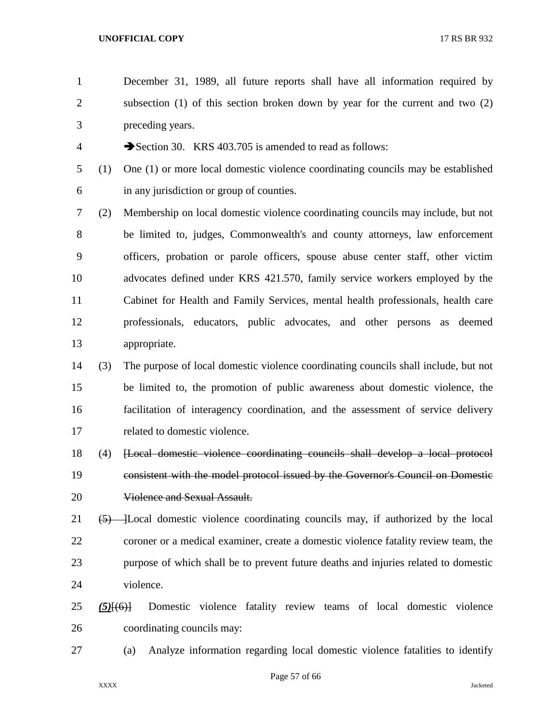December 31, 1989, all future reports shall have all information required by subsection (1) of this section broken down by year for the current and two (2) preceding years.

4 Section 30. KRS 403.705 is amended to read as follows:

- (1) One (1) or more local domestic violence coordinating councils may be established in any jurisdiction or group of counties.
- (2) Membership on local domestic violence coordinating councils may include, but not be limited to, judges, Commonwealth's and county attorneys, law enforcement officers, probation or parole officers, spouse abuse center staff, other victim advocates defined under KRS 421.570, family service workers employed by the Cabinet for Health and Family Services, mental health professionals, health care professionals, educators, public advocates, and other persons as deemed appropriate.
- (3) The purpose of local domestic violence coordinating councils shall include, but not be limited to, the promotion of public awareness about domestic violence, the facilitation of interagency coordination, and the assessment of service delivery related to domestic violence.
- (4) [Local domestic violence coordinating councils shall develop a local protocol consistent with the model protocol issued by the Governor's Council on Domestic 20 Violence and Sexual Assault.
- 21  $(5)$  [Local domestic violence coordinating councils may, if authorized by the local coroner or a medical examiner, create a domestic violence fatality review team, the purpose of which shall be to prevent future deaths and injuries related to domestic violence.
- *(5)*[(6)] Domestic violence fatality review teams of local domestic violence coordinating councils may:
- 

(a) Analyze information regarding local domestic violence fatalities to identify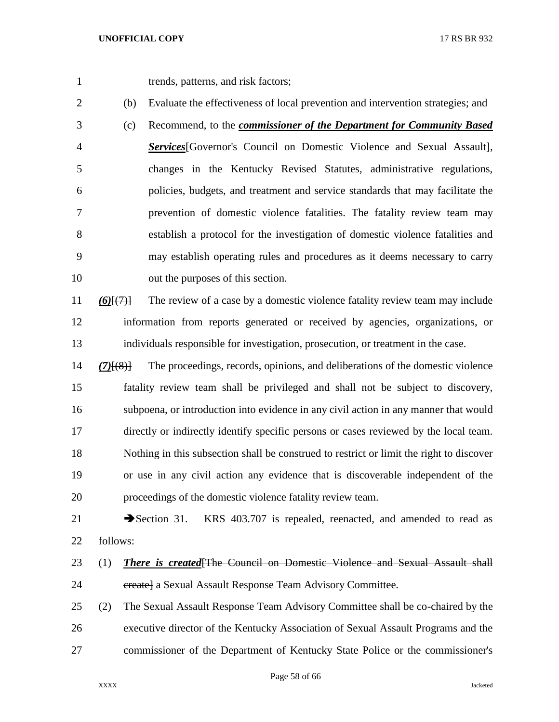- trends, patterns, and risk factors;
- 

- (b) Evaluate the effectiveness of local prevention and intervention strategies; and
- (c) Recommend, to the *commissioner of the Department for Community Based Services*[Governor's Council on Domestic Violence and Sexual Assault], changes in the Kentucky Revised Statutes, administrative regulations, policies, budgets, and treatment and service standards that may facilitate the prevention of domestic violence fatalities. The fatality review team may establish a protocol for the investigation of domestic violence fatalities and may establish operating rules and procedures as it deems necessary to carry out the purposes of this section.
- *(6)*[(7)] The review of a case by a domestic violence fatality review team may include information from reports generated or received by agencies, organizations, or individuals responsible for investigation, prosecution, or treatment in the case.
- *(7)*[(8)] The proceedings, records, opinions, and deliberations of the domestic violence fatality review team shall be privileged and shall not be subject to discovery, subpoena, or introduction into evidence in any civil action in any manner that would directly or indirectly identify specific persons or cases reviewed by the local team. Nothing in this subsection shall be construed to restrict or limit the right to discover or use in any civil action any evidence that is discoverable independent of the proceedings of the domestic violence fatality review team.
- 21 Section 31. KRS 403.707 is repealed, reenacted, and amended to read as follows:
- (1) *There is created*[The Council on Domestic Violence and Sexual Assault shall 24 create a Sexual Assault Response Team Advisory Committee.
- (2) The Sexual Assault Response Team Advisory Committee shall be co-chaired by the executive director of the Kentucky Association of Sexual Assault Programs and the commissioner of the Department of Kentucky State Police or the commissioner's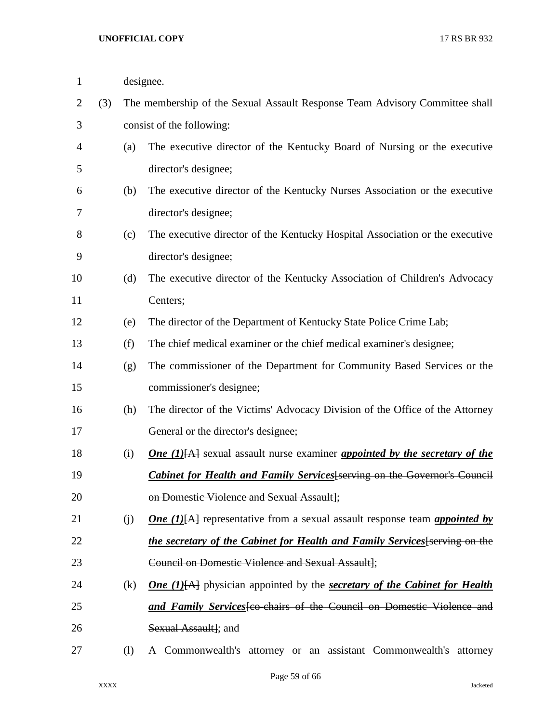| $\mathbf{1}$   |     | designee.                                                                   |                                                                                                       |
|----------------|-----|-----------------------------------------------------------------------------|-------------------------------------------------------------------------------------------------------|
| $\overline{2}$ | (3) | The membership of the Sexual Assault Response Team Advisory Committee shall |                                                                                                       |
| 3              |     |                                                                             | consist of the following:                                                                             |
| 4              |     | (a)                                                                         | The executive director of the Kentucky Board of Nursing or the executive                              |
| 5              |     |                                                                             | director's designee;                                                                                  |
| 6              |     | (b)                                                                         | The executive director of the Kentucky Nurses Association or the executive                            |
| 7              |     |                                                                             | director's designee;                                                                                  |
| 8              |     | (c)                                                                         | The executive director of the Kentucky Hospital Association or the executive                          |
| 9              |     |                                                                             | director's designee;                                                                                  |
| 10             |     | (d)                                                                         | The executive director of the Kentucky Association of Children's Advocacy                             |
| 11             |     |                                                                             | Centers;                                                                                              |
| 12             |     | (e)                                                                         | The director of the Department of Kentucky State Police Crime Lab;                                    |
| 13             |     | (f)                                                                         | The chief medical examiner or the chief medical examiner's designee;                                  |
| 14             |     | (g)                                                                         | The commissioner of the Department for Community Based Services or the                                |
| 15             |     |                                                                             | commissioner's designee;                                                                              |
| 16             |     | (h)                                                                         | The director of the Victims' Advocacy Division of the Office of the Attorney                          |
| 17             |     |                                                                             | General or the director's designee;                                                                   |
| 18             |     | (i)                                                                         | <b>One</b> (1)[A] sexual assault nurse examiner <b>appointed by the secretary of the</b>              |
| 19             |     |                                                                             | <b>Cabinet for Health and Family Services</b> [serving on the Governor's Council                      |
| 20             |     |                                                                             | on Domestic Violence and Sexual Assault];                                                             |
| 21             |     | (j)                                                                         | <b>One</b> (1) $\overline{AA}$ representative from a sexual assault response team <i>appointed by</i> |
| 22             |     |                                                                             | the secretary of the Cabinet for Health and Family Services [serving on the                           |
| 23             |     |                                                                             | Council on Domestic Violence and Sexual Assault];                                                     |
| 24             |     | (k)                                                                         | <b>One</b> (1) $[A]$ physician appointed by the <b>secretary of the Cabinet for Health</b>            |
| 25             |     |                                                                             | and Family Services feo-chairs of the Council on Domestic Violence and                                |
| 26             |     |                                                                             | Sexual Assault]; and                                                                                  |
| 27             |     | (1)                                                                         | A Commonwealth's attorney or an assistant Commonwealth's attorney                                     |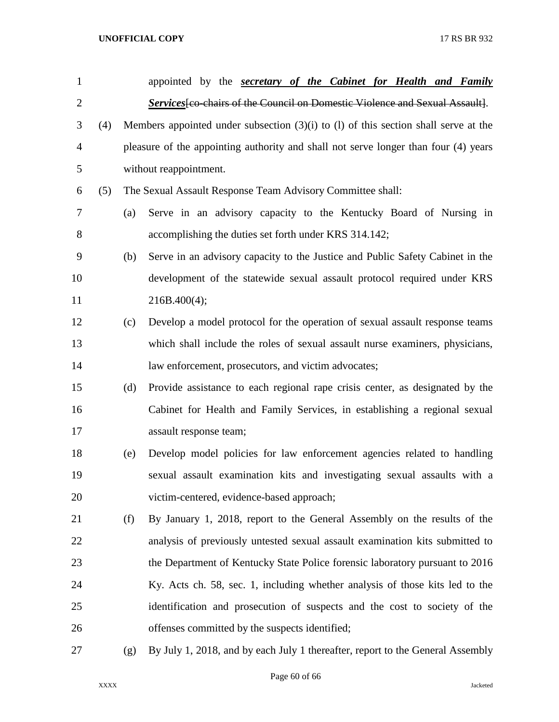| $\mathbf{1}$   |     |     | appointed by the <b>secretary of the Cabinet for Health and Family</b>                  |
|----------------|-----|-----|-----------------------------------------------------------------------------------------|
| $\overline{2}$ |     |     | Services [co-chairs of the Council on Domestic Violence and Sexual Assault].            |
| 3              | (4) |     | Members appointed under subsection $(3)(i)$ to $(l)$ of this section shall serve at the |
| $\overline{4}$ |     |     | pleasure of the appointing authority and shall not serve longer than four (4) years     |
| 5              |     |     | without reappointment.                                                                  |
| 6              | (5) |     | The Sexual Assault Response Team Advisory Committee shall:                              |
| $\overline{7}$ |     | (a) | Serve in an advisory capacity to the Kentucky Board of Nursing in                       |
| 8              |     |     | accomplishing the duties set forth under KRS 314.142;                                   |
| 9              |     | (b) | Serve in an advisory capacity to the Justice and Public Safety Cabinet in the           |
| 10             |     |     | development of the statewide sexual assault protocol required under KRS                 |
| 11             |     |     | 216B.400(4);                                                                            |
| 12             |     | (c) | Develop a model protocol for the operation of sexual assault response teams             |
| 13             |     |     | which shall include the roles of sexual assault nurse examiners, physicians,            |
| 14             |     |     | law enforcement, prosecutors, and victim advocates;                                     |
| 15             |     | (d) | Provide assistance to each regional rape crisis center, as designated by the            |
| 16             |     |     | Cabinet for Health and Family Services, in establishing a regional sexual               |
| 17             |     |     | assault response team;                                                                  |
| 18             |     | (e) | Develop model policies for law enforcement agencies related to handling                 |
| 19             |     |     | sexual assault examination kits and investigating sexual assaults with a                |
| 20             |     |     | victim-centered, evidence-based approach;                                               |
| 21             |     | (f) | By January 1, 2018, report to the General Assembly on the results of the                |
| 22             |     |     | analysis of previously untested sexual assault examination kits submitted to            |
| 23             |     |     | the Department of Kentucky State Police forensic laboratory pursuant to 2016            |
| 24             |     |     | Ky. Acts ch. 58, sec. 1, including whether analysis of those kits led to the            |
| 25             |     |     | identification and prosecution of suspects and the cost to society of the               |
| 26             |     |     | offenses committed by the suspects identified;                                          |
| 27             |     | (g) | By July 1, 2018, and by each July 1 thereafter, report to the General Assembly          |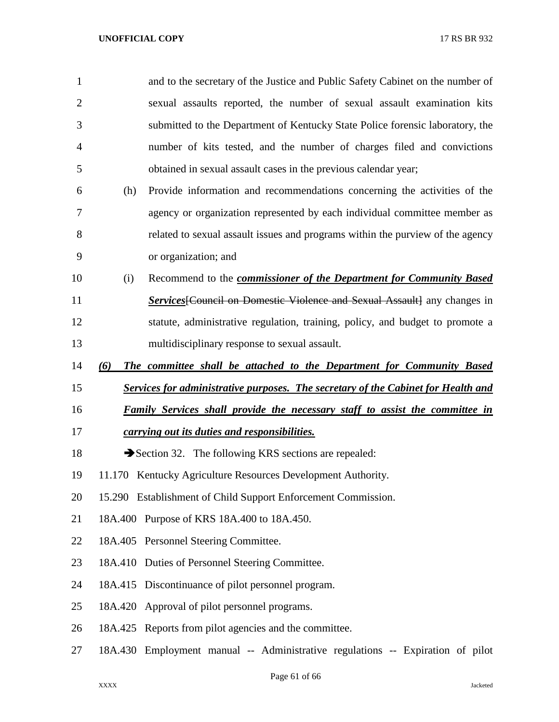| $\mathbf{1}$   |         | and to the secretary of the Justice and Public Safety Cabinet on the number of           |
|----------------|---------|------------------------------------------------------------------------------------------|
| $\overline{2}$ |         | sexual assaults reported, the number of sexual assault examination kits                  |
| 3              |         | submitted to the Department of Kentucky State Police forensic laboratory, the            |
| 4              |         | number of kits tested, and the number of charges filed and convictions                   |
| 5              |         | obtained in sexual assault cases in the previous calendar year;                          |
| 6              | (h)     | Provide information and recommendations concerning the activities of the                 |
| 7              |         | agency or organization represented by each individual committee member as                |
| 8              |         | related to sexual assault issues and programs within the purview of the agency           |
| 9              |         | or organization; and                                                                     |
| 10             | (i)     | Recommend to the <i>commissioner of the Department for Community Based</i>               |
| 11             |         | <b>Services</b> [Council on Domestic Violence and Sexual Assault] any changes in         |
| 12             |         | statute, administrative regulation, training, policy, and budget to promote a            |
| 13             |         | multidisciplinary response to sexual assault.                                            |
| 14             | (6)     | The committee shall be attached to the Department for Community Based                    |
| 15             |         | <b>Services for administrative purposes. The secretary of the Cabinet for Health and</b> |
| 16             |         | <b>Family Services shall provide the necessary staff to assist the committee in</b>      |
| 17             |         | carrying out its duties and responsibilities.                                            |
| 18             |         | Section 32. The following KRS sections are repealed:                                     |
| 19             |         | 11.170 Kentucky Agriculture Resources Development Authority.                             |
| 20             |         | 15.290 Establishment of Child Support Enforcement Commission.                            |
| 21             |         | 18A.400 Purpose of KRS 18A.400 to 18A.450.                                               |
| 22             |         | 18A.405 Personnel Steering Committee.                                                    |
| 23             |         | 18A.410 Duties of Personnel Steering Committee.                                          |
| 24             |         | 18A.415 Discontinuance of pilot personnel program.                                       |
| 25             | 18A.420 | Approval of pilot personnel programs.                                                    |
| 26             |         | 18A.425 Reports from pilot agencies and the committee.                                   |
| 27             |         | 18A.430 Employment manual -- Administrative regulations -- Expiration of pilot           |

Page 61 of 66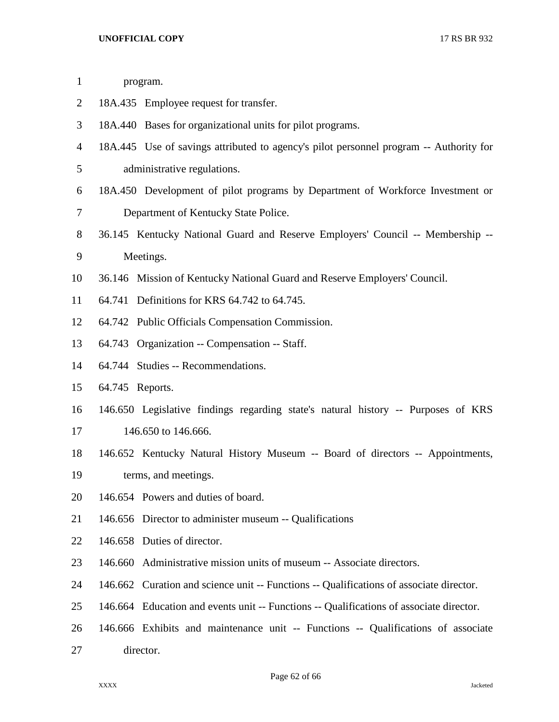| $\mathbf{1}$   | program.                                                                                |  |
|----------------|-----------------------------------------------------------------------------------------|--|
| $\overline{2}$ | 18A.435 Employee request for transfer.                                                  |  |
| 3              | 18A.440 Bases for organizational units for pilot programs.                              |  |
| 4              | 18A.445 Use of savings attributed to agency's pilot personnel program -- Authority for  |  |
| 5              | administrative regulations.                                                             |  |
| 6              | 18A.450 Development of pilot programs by Department of Workforce Investment or          |  |
| 7              | Department of Kentucky State Police.                                                    |  |
| 8              | 36.145 Kentucky National Guard and Reserve Employers' Council -- Membership --          |  |
| 9              | Meetings.                                                                               |  |
| 10             | 36.146 Mission of Kentucky National Guard and Reserve Employers' Council.               |  |
| 11             | 64.741 Definitions for KRS 64.742 to 64.745.                                            |  |
| 12             | 64.742 Public Officials Compensation Commission.                                        |  |
| 13             | 64.743 Organization -- Compensation -- Staff.                                           |  |
| 14             | 64.744 Studies -- Recommendations.                                                      |  |
| 15             | 64.745 Reports.                                                                         |  |
| 16             | 146.650 Legislative findings regarding state's natural history -- Purposes of KRS       |  |
| 17             | 146.650 to 146.666.                                                                     |  |
| 18             | 146.652 Kentucky Natural History Museum -- Board of directors -- Appointments,          |  |
| 19             | terms, and meetings.                                                                    |  |
| 20             | 146.654 Powers and duties of board.                                                     |  |
| 21             | 146.656 Director to administer museum -- Qualifications                                 |  |
| 22             | 146.658 Duties of director.                                                             |  |
| 23             | Administrative mission units of museum -- Associate directors.<br>146.660               |  |
| 24             | 146.662 Curation and science unit -- Functions -- Qualifications of associate director. |  |
| 25             | 146.664 Education and events unit -- Functions -- Qualifications of associate director. |  |
| 26             | 146.666 Exhibits and maintenance unit -- Functions -- Qualifications of associate       |  |
| 27             | director.                                                                               |  |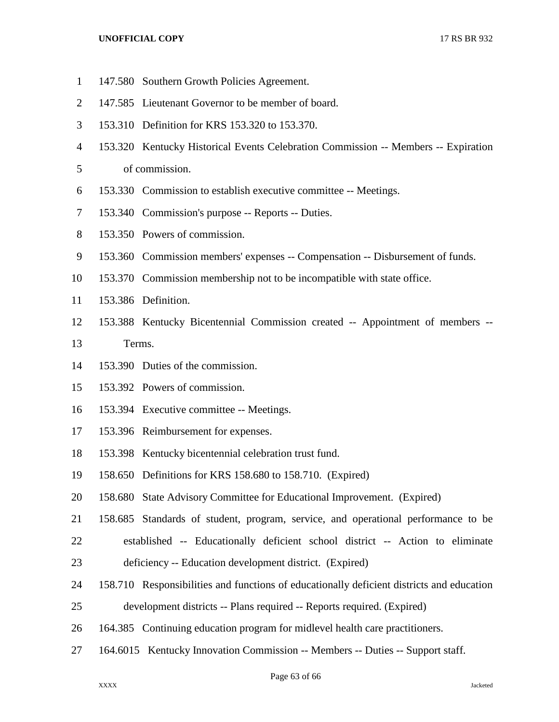- 147.580 Southern Growth Policies Agreement.
- 147.585 Lieutenant Governor to be member of board.
- 153.310 Definition for KRS 153.320 to 153.370.
- 153.320 Kentucky Historical Events Celebration Commission -- Members -- Expiration

of commission.

- 153.330 Commission to establish executive committee -- Meetings.
- 153.340 Commission's purpose -- Reports -- Duties.
- 153.350 Powers of commission.
- 153.360 Commission members' expenses -- Compensation -- Disbursement of funds.
- 153.370 Commission membership not to be incompatible with state office.
- 153.386 Definition.
- 153.388 Kentucky Bicentennial Commission created -- Appointment of members --
- Terms.
- 153.390 Duties of the commission.
- 153.392 Powers of commission.
- 153.394 Executive committee -- Meetings.
- 153.396 Reimbursement for expenses.
- 153.398 Kentucky bicentennial celebration trust fund.
- 158.650 Definitions for KRS 158.680 to 158.710. (Expired)
- 158.680 State Advisory Committee for Educational Improvement. (Expired)
- 158.685 Standards of student, program, service, and operational performance to be established -- Educationally deficient school district -- Action to eliminate
- deficiency -- Education development district. (Expired)
- 158.710 Responsibilities and functions of educationally deficient districts and education
- development districts -- Plans required -- Reports required. (Expired)
- 164.385 Continuing education program for midlevel health care practitioners.
- 164.6015 Kentucky Innovation Commission -- Members -- Duties -- Support staff.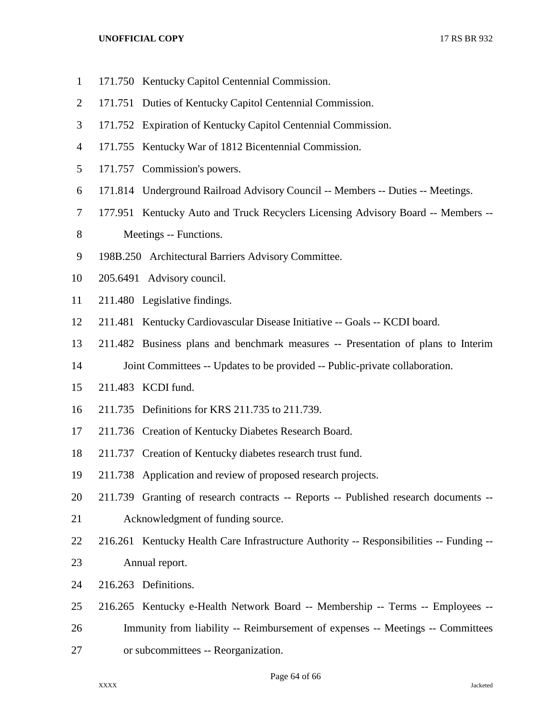- 171.750 Kentucky Capitol Centennial Commission.
- 171.751 Duties of Kentucky Capitol Centennial Commission.
- 171.752 Expiration of Kentucky Capitol Centennial Commission.
- 171.755 Kentucky War of 1812 Bicentennial Commission.
- 171.757 Commission's powers.
- 171.814 Underground Railroad Advisory Council -- Members -- Duties -- Meetings.
- 177.951 Kentucky Auto and Truck Recyclers Licensing Advisory Board -- Members --
- 8 Meetings -- Functions.
- 198B.250 Architectural Barriers Advisory Committee.
- 205.6491 Advisory council.
- 211.480 Legislative findings.
- 211.481 Kentucky Cardiovascular Disease Initiative -- Goals -- KCDI board.
- 211.482 Business plans and benchmark measures -- Presentation of plans to Interim
- Joint Committees -- Updates to be provided -- Public-private collaboration.
- 211.483 KCDI fund.
- 211.735 Definitions for KRS 211.735 to 211.739.
- 211.736 Creation of Kentucky Diabetes Research Board.
- 211.737 Creation of Kentucky diabetes research trust fund.
- 211.738 Application and review of proposed research projects.
- 211.739 Granting of research contracts -- Reports -- Published research documents --
- Acknowledgment of funding source.
- 216.261 Kentucky Health Care Infrastructure Authority -- Responsibilities -- Funding -- Annual report.
- 216.263 Definitions.
- 216.265 Kentucky e-Health Network Board -- Membership -- Terms -- Employees --
- Immunity from liability -- Reimbursement of expenses -- Meetings -- Committees
- or subcommittees -- Reorganization.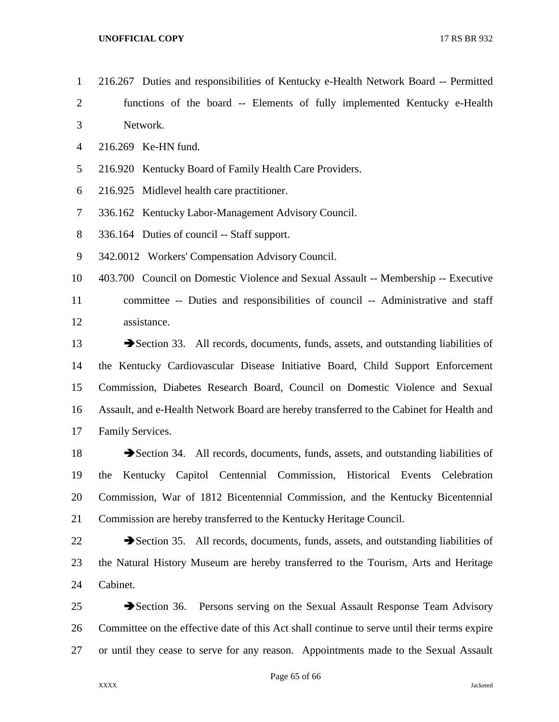- 216.267 Duties and responsibilities of Kentucky e-Health Network Board -- Permitted
- functions of the board -- Elements of fully implemented Kentucky e-Health Network.
- 216.269 Ke-HN fund.
- 216.920 Kentucky Board of Family Health Care Providers.
- 216.925 Midlevel health care practitioner.
- 336.162 Kentucky Labor-Management Advisory Council.
- 336.164 Duties of council -- Staff support.
- 342.0012 Workers' Compensation Advisory Council.

 403.700 Council on Domestic Violence and Sexual Assault -- Membership -- Executive committee -- Duties and responsibilities of council -- Administrative and staff assistance.

13 Section 33. All records, documents, funds, assets, and outstanding liabilities of the Kentucky Cardiovascular Disease Initiative Board, Child Support Enforcement Commission, Diabetes Research Board, Council on Domestic Violence and Sexual Assault, and e-Health Network Board are hereby transferred to the Cabinet for Health and Family Services.

18 Section 34. All records, documents, funds, assets, and outstanding liabilities of the Kentucky Capitol Centennial Commission, Historical Events Celebration Commission, War of 1812 Bicentennial Commission, and the Kentucky Bicentennial Commission are hereby transferred to the Kentucky Heritage Council.

22 Section 35. All records, documents, funds, assets, and outstanding liabilities of the Natural History Museum are hereby transferred to the Tourism, Arts and Heritage Cabinet.

25 Section 36. Persons serving on the Sexual Assault Response Team Advisory Committee on the effective date of this Act shall continue to serve until their terms expire or until they cease to serve for any reason. Appointments made to the Sexual Assault